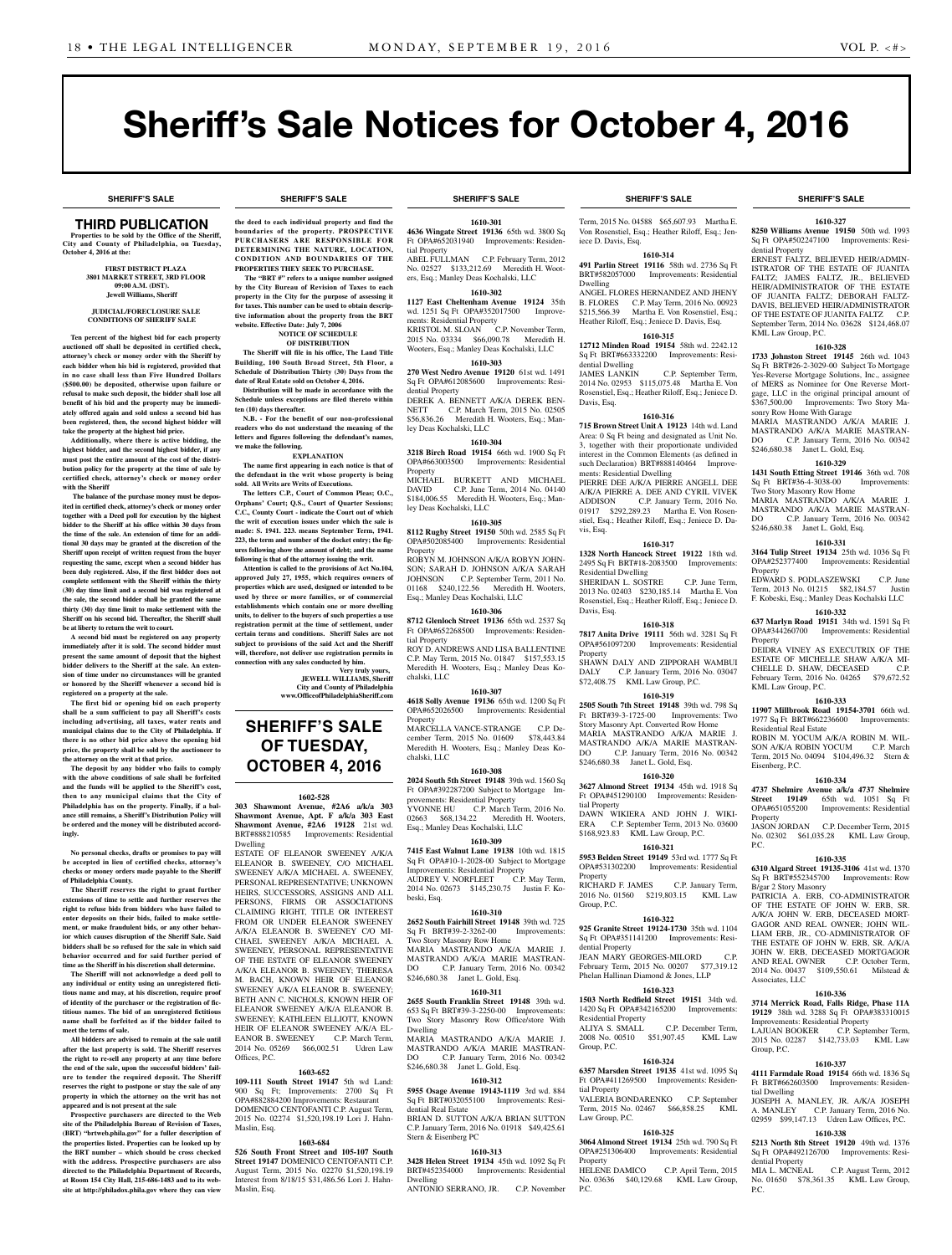**SHERIFF'S SALE SHERIFF'S SALE SHERIFF'S SALE SHERIFF'S SALE SHERIFF'S SALE**

**1610-327 8250 Williams Avenue 19150** 50th wd. 1993

ERNEST FALTZ, BELIEVED HEIR/ADMIN-ISTRATOR OF THE ESTATE OF JUANITA FALTZ; JAMES FALTZ, JR., BELIEVED HEIR/ADMINISTRATOR OF THE ESTATE OF JUANITA FALTZ; DEBORAH FALTZ-DAVIS, BELIEVED HEIR/ADMINISTRATOR OF THE ESTATE OF JUANITA FALTZ C.P. September Term, 2014 No. 03628 \$124,468.07

**1610-328 1733 Johnston Street 19145** 26th wd. 1043 Sq Ft BRT#26-2-3029-00 Subject To Mortgage Yes-Reverse Mortgage Solutions, Inc., assignee of MERS as Nominee for One Reverse Mortgage, LLC in the original principal amount of \$367,500.00 Improvements: Two Story Ma-sonry Row Home With Garage MARIA MASTRANDO A/K/A MARIE J. MASTRANDO A/K/A MARIE MASTRAN-<br>DO C.P. January Term. 2016 No. 00342 C.P. January Term, 2016 No. 00342

**1610-329 1431 South Etting Street 19146** 36th wd. 708 Sq Ft BRT#36-4-3038-00 Improvements:

MARIA MASTRANDO A/K/A MARIE J. MASTRANDO A/K/A MARIE MASTRAN-<br>DO C.P. January Term, 2016 No. 00342 C.P. January Term, 2016 No. 00342

**1610-331 3164 Tulip Street 19134** 25th wd. 1036 Sq Ft OPA#252377400 Improvements: Residential

EDWARD S. PODLASZEWSKI C.P. June<br>Term, 2013 No. 01215 \$82,184.57 Justin Term, 2013 No. 01215 \$82,184.57 F. Kobeski, Esq.; Manley Deas Kochalski LLC **1610-332 637 Marlyn Road 19151** 34th wd. 1591 Sq Ft OPA#344260700 Improvements: Residential

DEIDRA VINEY AS EXECUTRIX OF THE ESTATE OF MICHELLE SHAW A/K/A MI-CHELLE D. SHAW, DECEASED C.P. February Term, 2016 No. 04265 \$79,672.52

**1610-333 11907 Millbrook Road 19154-3701** 66th wd. 1977 Sq Ft BRT#662236600 Improvements:

ROBIN M. YOCUM A/K/A ROBIN M. WIL-SON A/K/A ROBIN YOCUM C.P. March Term, 2015 No. 04094 \$104,496.32 Stern &

**1610-334 4737 Shelmire Avenue a/k/a 4737 Shelmire Street 19149** 65th wd. 1051 Sq Ft OPA#651055200 Improvements: Residential

No. 02302 \$61,035.28 KML Law Group,

**1610-335 6310 Algard Street 19135-3106** 41st wd. 1370 Sq Ft BRT#552345700 Improvements: Row

PATRICIA A. ERB, CO-ADMINISTRATOR OF THE ESTATE OF JOHN W. ERB, SR. A/K/A JOHN W. ERB, DECEASED MORT-GAGOR AND REAL OWNER; JOHN WIL-LIAM ERB, JR., CO-ADMINISTRATOR OF THE ESTATE OF JOHN W. ERB, SR. A/K/A JOHN W. ERB, DECEASED MORTGAGOR<br>AND REAL OWNER C.P. October Term,

2014 No. 00437 \$109,550.61 Milstead &

**1610-336 3714 Merrick Road, Falls Ridge, Phase 11A 19129** 38th wd. 3288 Sq Ft OPA#383310015 Improvements: Residential Property LAJUAN BOOKER C.P. September Term, 2015 No. 02287 \$142,733.03 KML Law

**1610-337 4111 Farmdale Road 19154** 66th wd. 1836 Sq Ft BRT#662603500 Improvements: Residen-

JOSEPH A. MANLEY, JR. A/K/A JOSEPH A. MANLEY C.P. January Term, 2016 No. 02959 \$99,147.13 Udren Law Offices, P.C. **1610-338 5213 North 8th Street 19120** 49th wd. 1376 Sq Ft OPA#492126700 Improvements: Resi-

MIA L. MCNEAL C.P. August Term, 2012 No. 01650 \$78,361.35 KML Law Group,

Improvements: Residential

C.P. December Term, 2015

C.P. October Term,

Improvements: Residential

\$246,680.38 Janet L. Gold, Esq.

Two Story Masonry Row Home

\$246,680.38 Janet L. Gold, Esq.

**Property** 

Property

KML Law Group, P.C.

Residential Real Estate

Eisenberg, P.C.

Property<br>JASON JORDAN

B/gar 2 Story Masonry

Associates, LLC

Group, P.C.

tial Dwelling

dential Property

P.C.

P.C.

Sq Ft OPA#502247100 dential Property

KML Law Group, P.C.

# Sheriff's Sale Notices for October 4, 2016

### THIRD PUBLICATION

**Properties to be sold by the Office of the Sheriff, City and County of Philadelphia, on Tuesday, October 4, 2016 at the:** 

> **First District Plaza 3801 Market Street, 3rd Floor 09:00 A.M. (dST). Jewell Williams, Sheriff**

**JUDICIAL/FORECLOSURE SALE CONDITIONS OF SHERIFF SALE**

**Ten percent of the highest bid for each property auctioned off shall be deposited in certified check, attorney's check or money order with the Sheriff by each bidder when his bid is registered, provided that in no case shall less than Five Hundred Dollars (\$500.00) be deposited, otherwise upon failure or refusal to make such deposit, the bidder shall lose all benefit of his bid and the property may be immediately offered again and sold unless a second bid has been registered, then, the second highest bidder will take the property at the highest bid price.**

**Additionally, where there is active bidding, the highest bidder, and the second highest bidder, if any must post the entire amount of the cost of the distribution policy for the property at the time of sale by certified check, attorney's check or money order with the Sheriff**

 **The balance of the purchase money must be deposited in certified check, attorney's check or money order together with a Deed poll for execution by the highest bidder to the Sheriff at his office within 30 days from the time of the sale. An extension of time for an additional 30 days may be granted at the discretion of the Sheriff upon receipt of written request from the buyer requesting the same, except when a second bidder has been duly registered. Also, if the first bidder does not complete settlement with the Sheriff within the thirty (30) day time limit and a second bid was registered at the sale, the second bidder shall be granted the same thirty (30) day time limit to make settlement with the Sheriff on his second bid. Thereafter, the Sheriff shall be at liberty to return the writ to court.**

**A second bid must be registered on any property immediately after it is sold. The second bidder must present the same amount of deposit that the highest bidder delivers to the Sheriff at the sale. An extension of time under no circumstances will be granted or honored by the Sheriff whenever a second bid is registered on a property at the sale.** 

**The first bid or opening bid on each property shall be a sum sufficient to pay all Sheriff's costs including advertising, all taxes, water rents and municipal claims due to the City of Philadelphia. If there is no other bid price above the opening bid price, the property shall be sold by the auctioneer to the attorney on the writ at that price.**

**The deposit by any bidder who fails to comply with the above conditions of sale shall be forfeited and the funds will be applied to the Sheriff's cost, then to any municipal claims that the City of Philadelphia has on the property. Finally, if a balance still remains, a Sheriff's Distribution Policy will be ordered and the money will be distributed accordingly.**

**No personal checks, drafts or promises to pay will be accepted in lieu of certified checks, attorney's checks or money orders made payable to the Sheriff of Philadelphia County.**

**The Sheriff reserves the right to grant further extensions of time to settle and further reserves the right to refuse bids from bidders who have failed to enter deposits on their bids, failed to make settlement, or make fraudulent bids, or any other behavior which causes disruption of the Sheriff Sale. Said bidders shall be so refused for the sale in which said behavior occurred and for said further period of time as the Sheriff in his discretion shall determine.**

**The Sheriff will not acknowledge a deed poll to any individual or entity using an unregistered fictitious name and may, at his discretion, require proof of identity of the purchaser or the registration of fictitious names. The bid of an unregistered fictitious name shall be forfeited as if the bidder failed to meet the terms of sale.**

**All bidders are advised to remain at the sale until after the last property is sold. The Sheriff reserves the right to re-sell any property at any time before the end of the sale, upon the successful bidders' failure to tender the required deposit. The Sheriff reserves the right to postpone or stay the sale of any property in which the attorney on the writ has not appeared and is not present at the sale**

**Prospective purchasers are directed to the Web site of the Philadelphia Bureau of Revision of Taxes, (BRT) "brtweb.phila.gov" for a fuller description of the properties listed. Properties can be looked up by the BRT number – which should be cross checked with the address. Prospective purchasers are also directed to the Philadelphia Department of Records, at Room 154 City Hall, 215-686-1483 and to its website at http://philadox.phila.gov where they can view** 

**the deed to each individual property and find the boundaries of the property. PROSPECTIVE PURCHASERS ARE RESPONSIBLE FOR DETERMINING THE NATURE, LOCATION, CONDITION AND BOUNDARIES OF THE PROPERTIES THEY SEEK TO PURCHASE.**

 **The "BRT #" refers to a unique number assigned by the City Bureau of Revision of Taxes to each property in the City for the purpose of assessing it for taxes. This number can be used to obtain descriptive information about the property from the BRT website. Effective Date: July 7, 2006 NOTICE OF SCHEDULE** 

### **OF DISTRIBUTION**

**The Sheriff will file in his office, The Land Title Building, 100 South Broad Street, 5th Floor, a Schedule of Distribution Thirty (30) Days from the date of Real Estate sold on October 4, 2016. Distribution will be made in accordance with the** 

**Schedule unless exceptions are filed thereto within ten (10) days thereafter. N.B. - For the benefit of our non-professional** 

**readers who do not understand the meaning of the letters and figures following the defendant's names, we make the following. EXPLANATION**

**The name first appearing in each notice is that of** 

**the defendant in the writ whose property is being sold. All Writs are Writs of Executions. The letters C.P., Court of Common Pleas; O.C., Orphans' Court; Q.S., Court of Quarter Sessions;** 

**C.C., County Court - indicate the Court out of which the writ of execution issues under which the sale is made: S. 1941. 223. means September Term, 1941. 223, the term and number of the docket entry; the figures following show the amount of debt; and the name following is that of the attorney issuing the writ.**

**Attention is called to the provisions of Act No.104, approved July 27, 1955, which requires owners of properties which are used, designed or intended to be used by three or more families, or of commercial establishments which contain one or more dwelling units, to deliver to the buyers of such properties a use registration permit at the time of settlement, under certain terms and conditions. Sheriff Sales are not subject to provisions of the said Act and the Sheriff will, therefore, not deliver use registration permits in** 

**connection with any sales conducted by him. Very truly yours, JEWELL WILLIAMS, Sheriff City and County of Philadelphia www.OfficeofPhiladelphiaSheriff.com**

**SHERIFF'S SALE OF TUESDAY, OCTOBER 4, 2016**

### **1602-528**

**303 Shawmont Avenue, #2A6 a/k/a 303 Shawmont Avenue, Apt. F a/k/a 303 East Shawmont Avenue, #2A6 19128** 21st wd. BRT#888210585 Improvements: Residential Dwelling ESTATE OF ELEANOR SWEENEY A/K/A ELEANOR B. SWEENEY, C/O MICHAEL SWEENEY A/K/A MICHAEL A. SWEENEY,

PERSONAL REPRESENTATIVE; UNKNOWN HEIRS, SUCCESSORS, ASSIGNS AND ALL PERSONS, FIRMS OR ASSOCIATIONS CLAIMING RIGHT, TITLE OR INTEREST FROM OR UNDER ELEANOR SWEENEY A/K/A ELEANOR B. SWEENEY C/O MI-CHAEL SWEENEY A/K/A MICHAEL A. SWEENEY, PERSONAL REPRESENTATIVE OF THE ESTATE OF ELEANOR SWEENEY A/K/A ELEANOR B. SWEENEY; THERESA M. BACH, KNOWN HEIR OF ELEANOR SWEENEY A/K/A ELEANOR B. SWEENEY; BETH ANN C. NICHOLS, KNOWN HEIR OF ELEANOR SWEENEY A/K/A ELEANOR B. SWEENEY; KATHLEEN ELLIOTT, KNOWN HEIR OF ELEANOR SWEENEY A/K/A EL-EANOR B. SWEENEY C.P. March Term, 2014 No. 05269 \$66,002.51 Udren Law Offices, P.C.

### **1603-652**

**109-111 South Street 19147** 5th wd Land: 900 Sq Ft; Improvements: 2700 Sq Ft OPA#882884200 Improvements: Restaurant DOMENICO CENTOFANTI C.P. August Term, 2015 No. 02274 \$1,520,198.19 Lori J. Hahn-Maslin, Esq.

#### **1603-684**

**526 South Front Street and 105-107 South Street 19147** DOMENICO CENTOFANTI C.P. August Term, 2015 No. 02270 \$1,520,198.19 Interest from 8/18/15 \$31,486.56 Lori J. Hahn-Maslin, Esq.

**1610-301 4636 Wingate Street 19136** 65th wd. 3800 Sq Ft OPA#652031940 Improvements: Residential Property ABEL FULLMAN C.P. February Term, 2012

No. 02527 \$133,212.69 Meredith H. Wooters, Esq.; Manley Deas Kochalski, LLC **1610-302**

**1127 East Cheltenham Avenue 19124** 35th wd. 1251 Sq Ft OPA#352017500 Improvements: Residential Property KRISTOL M. SLOAN C.P. November Term

2015 No. 03334 \$66,090.78 Meredith H. Wooters, Esq.; Manley Deas Kochalski, LLC **1610-303**

**270 West Nedro Avenue 19120** 61st wd. 1491 Sq Ft OPA#612085600 Improvements: Residential Property DEREK A. BENNETT A/K/A DEREK BEN-NETT C.P. March Term, 2015 No. 02505

\$56,836.26 Meredith H. Wooters, Esq.; Manley Deas Kochalski, LLC

**1610-304 3218 Birch Road 19154** 66th wd. 1900 Sq Ft OPA#663003500 Improvements: Residential Property

MICHAEL BURKETT AND MICHAEL DAVID C.P. June Term, 2014 No. 04140 \$184,006.55 Meredith H. Wooters, Esq.; Manley Deas Kochalski, LLC

**1610-305 8112 Rugby Street 19150** 50th wd. 2585 Sq Ft OPA#502085400 Improvements: Residential Property ROBYN M. JOHNSON A/K/A ROBYN JOHN-SON; SARAH D. JOHNSON A/K/A SARAH<br>JOHNSON C.P. September Term, 2011 No. C.P. September Term, 2011 No. 01168 \$240,122.56 Meredith H. Wooters,

Esq.; Manley Deas Kochalski, LLC **1610-306**

**8712 Glenloch Street 19136** 65th wd. 2537 Sq Ft OPA#652268500 Improvements: Residential Property ROY D. ANDREWS AND LISA BALLENTINE C.P. May Term, 2015 No. 01847 \$157,553.15 Meredith H. Wooters, Esq.; Manley Deas Ko-

chalski, LLC **1610-307**

**4618 Solly Avenue 19136** 65th wd. 1200 Sq Ft OPA#652026500 Improvements: Residential **Property** 

MARCELLA VANCE-STRANGE C.P. December Term, 2015 No. 01609 \$78,443.84 Meredith H. Wooters, Esq.; Manley Deas Kochalski, LLC

### **1610-308**

**2024 South 5th Street 19148** 39th wd. 1560 Sq Ft OPA#392287200 Subject to Mortgage Improvements: Residential Property

YVONNE HU C.P. March Term, 2016 No. 02663 \$68,134.22 Meredith H. Wooters, Esq.; Manley Deas Kochalski, LLC

#### **1610-309**

**7415 East Walnut Lane 19138** 10th wd. 1815 Sq Ft OPA#10-1-2028-00 Subject to Mortgage Improvements: Residential Property AUDREY V. NORFLEET C.P. May Term, 2014 No. 02673 \$145,230.75 Justin F. Kobeski, Esq.

### **1610-310**

**2652 South Fairhill Street 19148** 39th wd. 725 Sq Ft BRT#39-2-3262-00 Improvements: Two Story Masonry Row Home MARIA MASTRANDO A/K/A MARIE J. MASTRANDO A/K/A MARIE MASTRAN-DO C.P. January Term, 2016 No. 00342 \$246,680.38 Janet L. Gold, Esq.

### **1610-311**

**2655 South Franklin Street 19148** 39th wd. 653 Sq Ft BRT#39-3-2250-00 Improvements: Two Story Masonry Row Office/store With Dwelling

MARIA MASTRANDO A/K/A MARIE J. MASTRANDO A/K/A MARIE MASTRAN-DO C.P. January Term, 2016 No. 00342 \$246,680.38 Janet L. Gold, Esq.

### **1610-312**

**5955 Osage Avenue 19143-1119** 3rd wd. 884 Sq Ft BRT#032055100 Improvements: Residential Real Estate BRIAN D. SUTTON A/K/A BRIAN SUTTON C.P. January Term, 2016 No. 01918 \$49,425.61 Stern & Eisenberg PC

### **1610-313**

**3428 Helen Street 19134** 45th wd. 1092 Sq Ft BRT#452354000 Improvements: Residential Dwelling

ANTONIO SERRANO, JR. C.P. November

### **SHERIFF'S SALE SHERIFF'S SALE SHERIFF'S SALE SHERIFF'S SALE SHERIFF'S SALE**

Term, 2015 No. 04588 \$65,607.93 Martha E. Von Rosenstiel, Esq.; Heather Riloff, Esq.; Jeniece D. Davis, Esq.

**1610-314 491 Parlin Street 19116** 58th wd. 2736 Sq Ft BRT#582057000 Improvements: Residential Dwelling

ANGEL FLORES HERNANDEZ AND JHENY B. FLORES C.P. May Term, 2016 No. 00923<br>\$215,566,39 Martha E. Von Rosenstiel Esq. Martha E. Von Rosenstiel, Esq.;

### Heather Riloff, Esq.; Jeniece D. Davis, Esq. **1610-315**

**12712 Minden Road 19154** 58th wd. 2242.12 Sq Ft BRT#663332200 Improvements: Residential Dwelling<br>JAMES LANKIN C.P. September Term, 2014 No. 02953 \$115,075.48 Martha E. Von Rosenstiel, Esq.; Heather Riloff, Esq.; Jeniece D. Davis, Esq.

### **1610-316**

**715 Brown Street Unit A 19123** 14th wd. Land Area: 0 Sq Ft being and designated as Unit No. 3, together with their proportionate undivided interest in the Common Elements (as defined in such Declaration) BRT#888140464 Improvements: Residential Dwelling PIERRE DEE A/K/A PIERRE ANGELL DEE A/K/A PIERRE A. DEE AND CYRIL VIVEK ADDISON C.P. January Term, 2016 No. 01917 \$292,289.23 Martha E. Von Rosenstiel, Esq.; Heather Riloff, Esq.; Jeniece D. Davis, Esq.

#### **1610-317**

**1328 North Hancock Street 19122** 18th wd. 2495 Sq Ft BRT#18-2083500 Improvements: Residential Dwelling SHERIDAN L. SOSTRE C.P. June Term, 2013 No. 02403 \$230,185.14 Martha E. Von Rosenstiel, Esq.; Heather Riloff, Esq.; Jeniece D.

Davis, Esq. **1610-318**

### **7817 Anita Drive 19111** 56th wd. 3281 Sq Ft

OPA#561097200 Improvements: Residential Property SHAWN DALY AND ZIPPORAH WAMBUI C.P. January Term, 2016 No. 03047 \$72,408.75 KML Law Group, P.C.

### **1610-319**

**2505 South 7th Street 19148** 39th wd. 798 Sq Ft BRT#39-3-1725-00 Improvements: Two Story Masonry Apt. Converted Row Home MARIA MASTRANDO A/K/A MARIE J. MASTRANDO A/K/A MARIE MASTRAN-<br>DO C.P. January Term. 2016 No. 00342 C.P. January Term, 2016 No. 00342 \$246,680.38 Janet L. Gold, Esq.

#### **1610-320 3627 Almond Street 19134** 45th wd. 1918 Sq

Ft OPA#451290100 Improvements: Residential Property DAWN WIKIERA AND JOHN J. WIKI-ERA C.P. September Term, 2013 No. 03600 \$168,923.83 KML Law Group, P.C.

### **1610-321**

**5953 Belden Street 19149** 53rd wd. 1777 Sq Ft OPA#531302200 Improvements: Residential Property

RICHARD F. JAMES C.P. January Term, 2016 No. 01560 \$219,803.15 KML Law Group, P.C.

#### **1610-322**

**925 Granite Street 19124-1730** 35th wd. 1104 Sq Ft OPA#351141200 Improvements: Residential Property JEAN MARY GEORGES-MILORD C.P.

### February Term, 2015 No. 00207 \$77,319.12 Phelan Hallinan Diamond & Jones, LLP

#### **1610-323 1503 North Redfield Street 19151** 34th wd.

1420 Sq Ft OPA#342165200 Improvements: Residential Property ALIYA S. SMALL C.P. December Term, 2008 No. 00510 \$51,907.45 KML Law Group, P.C.

#### **1610-324**

**6357 Marsden Street 19135** 41st wd. 1095 Sq Ft OPA#411269500 Improvements: Residential Property VALERIA BONDARENKO C.P. September Term, 2015 No. 02467 \$66,858.25 KML Law Group, P.C.

### **1610-325**

P.C.

**3064 Almond Street 19134** 25th wd. 790 Sq Ft OPA#251306400 Improvements: Residential Property HELENE DAMICO C.P. April Term, 2015 No. 03636 \$40,129.68 KML Law Group,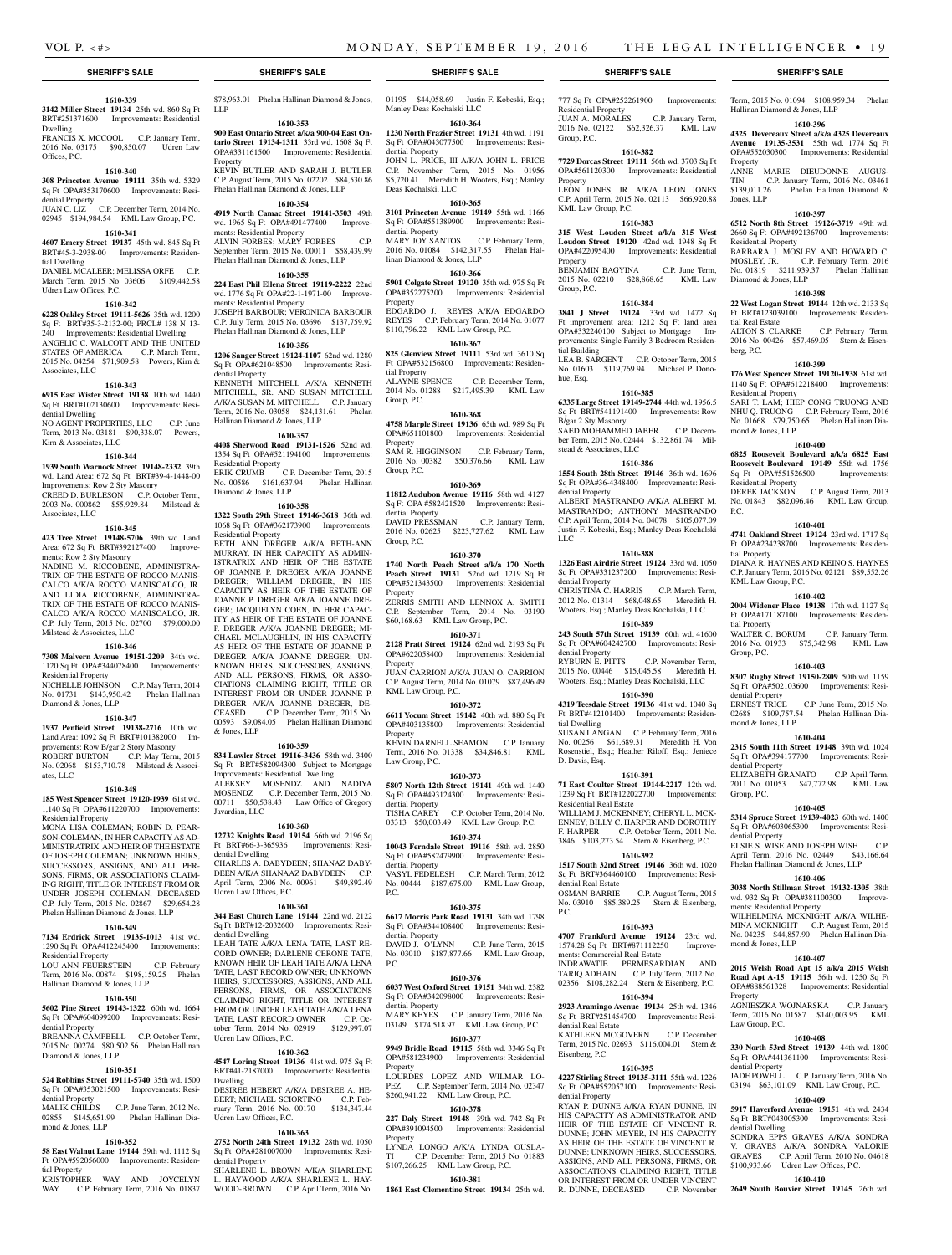Residential Property

KML Law Group, P.C.

Group, P.C.

Property

Property

Group, P.C.

tial Building

B/gar 2 Sty Masonry

dential Property

dential Property

dential Property

tial Dwelling

D. Davis, Esq.

Residential Real Estate

dential Real Estate

dential Real Estate

Eisenberg, P.C.

dential Property

R. DUNNE, DECEASED

P.C.

LLC

stead & Associates, LLC

hue, Esq.

777 Sq Ft OPA#252261900 Improvements:

Term, 2015 No. 01094 \$108,959.34 Phelan

**1610-396 4325 Devereaux Street a/k/a 4325 Devereaux Avenue 19135-3531** 55th wd. 1774 Sq Ft OPA#552030300 Improvements: Residential

ANNE MARIE DIEUDONNE AUGUS-TIN C.P. January Term, 2016 No. 03461 \$139,011.26 Phelan Hallinan Diamond &

**1610-397 6512 North 8th Street 19126-3719** 49th wd. 2660 Sq Ft OPA#492136700 Improvements:

BARBARA J. MOSLEY AND HOWARD C. MOSLEY, JR. C.P. February Term, 2016 No. 01819 \$211,939.37 Phelan Hallinan

**1610-398 22 West Logan Street 19144** 12th wd. 2133 Sq Ft BRT#123039100 Improvements: Residen-

ALTON S. CLARKE C.P. February Term, 2016 No. 00426 \$57,469.05 Stern & Eisen-

**1610-399 176 West Spencer Street 19120-1938** 61st wd. 1140 Sq Ft OPA#612218400 Improvements:

SARI T. LAM; HIEP CONG TRUONG AND NHU Q. TRUONG C.P. February Term, 2016 No. 01668 \$79,750.65 Phelan Hallinan Dia-

**1610-400 6825 Roosevelt Boulevard a/k/a 6825 East Roosevelt Boulevard 19149** 55th wd. 1756<br>Sq Ft OPA#551526500 Improvements:

DEREK JACKSON C.P. August Term, 2013 No. 01843 \$82,096.46 KML Law Group,

**1610-401 4741 Oakland Street 19124** 23rd wd. 1717 Sq Ft OPA#234238700 Improvements: Residen-

DIANA R. HAYNES AND KEINO S. HAYNES C.P. January Term, 2016 No. 02121 \$89,552.26

**1610-402 2004 Widener Place 19138** 17th wd. 1127 Sq Ft OPA#171187100 Improvements: Residen-

WALTER C. BORUM C.P. January Term, 2016 No. 01933 \$75,342.98 KML Law

**1610-403 8307 Rugby Street 19150-2809** 50th wd. 1159 Sq Ft OPA#502103600 Improvements: Resi-

ERNEST TRICE C.P. June Term, 2015 No. 02688 \$109,757.54 Phelan Hallinan Dia-

**1610-404 2315 South 11th Street 19148** 39th wd. 1024 Sq Ft OPA#394177700 Improvements: Resi-

ELIZABETH GRANATO C.P. April Term, 2011 No. 01053 \$47,772.98 KML Law

**1610-405 5314 Spruce Street 19139-4023** 60th wd. 1400 Sq Ft OPA#603065300 Improvements: Resi-

ELSIE S. WISE AND JOSEPH WISE C.P. April Term, 2016 No. 02449 \$43,166.64 Phelan Hallinan Diamond & Jones, LLP **1610-406 3038 North Stillman Street 19132-1305** 38th wd. 932 Sq Ft OPA#381100300 Improve-

WILHELMINA MCKNIGHT A/K/A WILHE-MINA MCKNIGHT C.P. August Term, 2015 No. 04235 \$44,857.90 Phelan Hallinan Dia-

**1610-407 2015 Welsh Road Apt 15 a/k/a 2015 Welsh Road Apt A-15 19115** 56th wd. 1250 Sq Ft OPA#888561328 Improvements: Residential

AGNIESZKA WOJNARSKA C.P. January Term, 2016 No. 01587 \$140,003.95 KML

**1610-408 330 North 53rd Street 19139** 44th wd. 1800 Sq Ft OPA#441361100 Improvements: Resi-

JADE POWELL C.P. January Term, 2016 No. 03194 \$63,101.09 KML Law Group, P.C. **1610-409 5917 Haverford Avenue 19151** 4th wd. 2434 Sq Ft BRT#043005300 Improvements: Resi-

SONDRA EPPS GRAVES A/K/A SONDRA V. GRAVES A/K/A SONDRA VALORIE GRAVES C.P. April Term, 2010 No. 04618 \$100,933.66 Udren Law Offices, P.C. **1610-410 2649 South Bouvier Street 19145** 26th wd.

Hallinan Diamond & Jones, LLP

Property

Jones, LLP

Residential Property

Diamond & Jones, LLP

tial Real Estate

Residential Property

mond & Jones, LLP

Sq Ft OPA#551526500 Residential Property

berg, P.C.

P.C.

tial Property

tial Property

Group, P.C.

dential Property

mond & Jones, LLP

dential Property

Group, P.C.

dential Property

ments: Residential Property

mond & Jones, LLP

Property

Law Group, P.C.

dential Property

dential Dwelling

KML Law Group, P.C.

JUAN A. MORALES C.P. January Term, 2016 No. 02122 \$62,326.37 KML Law

**1610-382 7729 Dorcas Street 19111** 56th wd. 3703 Sq Ft OPA#561120300 Improvements: Residential

LEON JONES, JR. A/K/A LEON JONES C.P. April Term, 2015 No. 02113 \$66,920.88

**1610-383 315 West Louden Street a/k/a 315 West Loudon Street 19120** 42nd wd. 1948 Sq Ft OPA#422095400 Improvements: Residential

BENJAMIN BAGYINA C.P. June Term, 2015 No. 02210 \$28,868.65 KML Law

**1610-384 3841 J Street 19124** 33rd wd. 1472 Sq Ft improvement area; 1212 Sq Ft land area OPA#332240100 Subject to Mortgage Improvements: Single Family 3 Bedroom Residen-

LEA B. SARGENT C.P. October Term, 2015 No. 01603 \$119,769.94 Michael P. Dono-

**1610-385 6335 Large Street 19149-2744** 44th wd. 1956.5 Sq Ft BRT#541191400 Improvements: Row

SAED MOHAMMED JABER C.P. December Term, 2015 No. 02444 \$132,861.74 Mil-

**1610-386 1554 South 28th Street 19146** 36th wd. 1696 Sq Ft OPA#36-4348400 Improvements: Resi-

ALBERT MASTRANDO A/K/A ALBERT M. MASTRANDO; ANTHONY MASTRANDO C.P. April Term, 2014 No. 04078 \$105,077.09 Justin F. Kobeski, Esq.; Manley Deas Kochalski

**1610-388 1326 East Airdrie Street 19124** 33rd wd. 1050 Sq Ft OPA#331237200 Improvements: Resi-

CHRISTINA C. HARRIS C.P. March Term, 2012 No. 01314 \$68,048.65 Meredith H. Wooters, Esq.; Manley Deas Kochalski, LLC **1610-389 243 South 57th Street 19139** 60th wd. 41600 Sq Ft OPA#604242700 Improvements: Resi-

RYBURN E. PITTS C.P. November Term, 2015 No. 00446 \$15,045.58 Meredith H. Wooters, Esq.; Manley Deas Kochalski, LLC **1610-390 4319 Teesdale Street 19136** 41st wd. 1040 Sq Ft BRT#412101400 Improvements: Residen-

SUSAN LANGAN C.P. February Term, 2016 No. 00256 \$61,689.31 Meredith H. Von Rosenstiel, Esq.; Heather Riloff, Esq.; Jeniece

**1610-391 71 East Coulter Street 19144-2217** 12th wd. 1239 Sq Ft BRT#122022700 Improvements:

WILLIAM J. MCKENNEY; CHERYL L. MCK-ENNEY; BILLY C. HARPER AND DOROTHY F. HARPER C.P. October Term, 2011 No. 3846 \$103,273.54 Stern & Eisenberg, P.C. **1610-392 1517 South 32nd Street 19146** 36th wd. 1020 Sq Ft BRT#364460100 Improvements: Resi-

OSMAN BARRIE C.P. August Term, 2015 No. 03910 \$85,389.25 Stern & Eisenberg,

**1610-393 4707 Frankford Avenue 19124** 23rd wd. 1574.28 Sq Ft BRT#871112250 Improve-

INDRAWATIE PERMESARDIAN AND TARIQ ADHAIN C.P. July Term, 2012 No. 02356 \$108,282.24 Stern & Eisenberg, P.C. **1610-394 2923 Aramingo Avenue 19134** 25th wd. 1346 Sq Ft BRT#251454700 Improvements: Resi-

KATHLEEN MCGOVERN C.P. December , 2015 No. 02693 \$116,004.01

**1610-395 4227 Stirling Street 19135-3111** 55th wd. 1226 Sq Ft OPA#552057100 Improvements: Resi-

RYAN P. DUNNE A/K/A RYAN DUNNE, IN HIS CAPACITY AS ADMINISTRATOR AND HEIR OF THE ESTATE OF VINCENT R. DUNNE; JOHN MEYER, IN HIS CAPACITY AS HEIR OF THE ESTATE OF VINCENT R. DUNNE; UNKNOWN HEIRS, SUCCESSORS, ASSIGNS, AND ALL PERSONS, FIRMS, OR ASSOCIATIONS CLAIMING RIGHT, TITLE OR INTEREST FROM OR UNDER VINCENT<br>R. DUNNE. DECEASED C.P. November

ments: Commercial Real Estate

### **SHERIFF'S SALE SHERIFF'S SALE SHERIFF'S SALE SHERIFF'S SALE SHERIFF'S SALE**

#### **1610-339 3142 Miller Street 19134** 25th wd. 860 Sq Ft

BRT#251371600 Improvements: Residential Dwelling FRANCIS X. MCCOOL C.P. January Term,

2016 No. 03175 \$90,850.07 Udren Law Offices, P.C.

### **1610-340**

**308 Princeton Avenue 19111** 35th wd. 5329 Sq Ft OPA#353170600 Improvements: Residential Property

#### JUAN C. LIZ C.P. December Term, 2014 No. 02945 \$194,984.54 KML Law Group, P.C.

### **1610-341**

**4607 Emery Street 19137** 45th wd. 845 Sq Ft BRT#45-3-2938-00 Improvements: Residential Dwelling

DANIEL MCALEER; MELISSA ORFE C.P. March Term, 2015 No. 03606 \$109,442.58 Udren Law Offices, P.C.

#### **1610-342**

**6228 Oakley Street 19111-5626** 35th wd. 1200 Sq Ft BRT#35-3-2132-00; PRCL# 138 N 13- 240 Improvements: Residential Dwelling ANGELIC C. WALCOTT AND THE UNITED STATES OF AMERICA C.P. March Term, 2015 No. 04254 \$71,909.58 Powers, Kirn & Associates, LLC

#### **1610-343**

**6915 East Wister Street 19138** 10th wd. 1440 Sq Ft BRT#102130600 Improvements: Residential Dwelling NO AGENT PROPERTIES, LLC C.P. June Term, 2013 No. 03181 \$90,338.07 Powers, Kirn & Associates, LLC

### **1610-344**

**1939 South Warnock Street 19148-2332** 39th wd. Land Area: 672 Sq Ft BRT#39-4-1448-00 Improvements: Row 2 Sty Masonry CREED D. BURLESON C.P. October Term, 2003 No. 000862 \$55,929.84 Milstead &

### **1610-345**

Associates, LLC

**423 Tree Street 19148-5706** 39th wd. Land Area: 672 Sq Ft BRT#392127400 Improvements: Row 2 Sty Masonry

NADINE M. RICCOBENE, ADMINISTRA-TRIX OF THE ESTATE OF ROCCO MANIS-CALCO A/K/A ROCCO MANISCALCO, JR. AND LIDIA RICCOBENE, ADMINISTRA-TRIX OF THE ESTATE OF ROCCO MANIS-CALCO A/K/A ROCCO MANISCALCO, JR. C.P. July Term, 2015 No. 02700 \$79,000.00 Milstead & Associates, LLC

#### **1610-346**

**7308 Malvern Avenue 19151-2209** 34th wd. 1120 Sq Ft OPA#344078400 Improvements: Residential Property

NICHELLE JOHNSON C.P. May Term, 2014 No. 01731 \$143,950.42 Phelan Hallinan Diamond & Jones, LLP

### **1610-347**

ates, LLC

**1937 Penfield Street 19138-2716** 10th wd. Land Area: 1092 Sq Ft BRT#101382000 Improvements: Row B/gar 2 Story Masonry ROBERT BURTON C.P. May Term, 2015 No. 02068 \$153,710.78 Milstead & Associ-

### **1610-348**

**185 West Spencer Street 19120-1939** 61st wd. 1,140 Sq Ft OPA#611220700 Improvements: Residential Property

MONA LISA COLEMAN; ROBIN D. PEAR-SON-COLEMAN, IN HER CAPACITY AS AD-MINISTRATRIX AND HEIR OF THE ESTATE OF JOSEPH COLEMAN; UNKNOWN HEIRS, SUCCESSORS, ASSIGNS, AND ALL PER-SONS, FIRMS, OR ASSOCIATIONS CLAIM-ING RIGHT, TITLE OR INTEREST FROM OR UNDER JOSEPH COLEMAN, DECEASED C.P. July Term, 2015 No. 02867 \$29,654.28 Phelan Hallinan Diamond & Jones, LLP

## **1610-349**

**7134 Erdrick Street 19135-1013** 41st wd. 1290 Sq Ft OPA#412245400 Improvements: Residential Property

LOU ANN FEUERSTEIN C.P. February Term, 2016 No. 00874 \$198,159.25 Phelan Hallinan Diamond & Jones, LLP

### **1610-350**

**5602 Pine Street 19143-1322** 60th wd. 1664 Sq Ft OPA#604099200 Improvements: Residential Property BREANNA CAMPBELL C.P. October Term,

### 2015 No. 00274 \$80,502.56 Phelan Hallinan Diamond & Jones, LLP

#### **1610-351**

**524 Robbins Street 19111-5740** 35th wd. 1500 Sq Ft OPA#353021500 Improvements: Resi-

dential Property MALIK CHILDS C.P. June Term, 2012 No. 02855 \$145,651.99 Phelan Hallinan Diamond & Jones, LLP

### **1610-352**

**58 East Walnut Lane 19144** 59th wd. 1112 Sq Ft OPA#592056000 Improvements: Residential Property

KRISTOPHER WAY AND JOYCELYN WAY C.P. February Term, 2016 No. 01837 \$78,963.01 Phelan Hallinan Diamond & Jones,

### **1610-353**

LLP

**900 East Ontario Street a/k/a 900-04 East Ontario Street 19134-1311** 33rd wd. 1608 Sq Ft OPA#331161500 Improvements: Residential Property KEVIN BUTLER AND SARAH J. BUTLER C.P. August Term, 2015 No. 02202 \$84,530.86 Phelan Hallinan Diamond & Jones, LLP

### **1610-354**

**4919 North Camac Street 19141-3503** 49th wd. 1965 Sq Ft OPA#491477400 Improvements: Residential Property ALVIN FORBES; MARY FORBES C.P. September Term, 2015 No. 00011 \$58,439.99 Phelan Hallinan Diamond & Jones, LLP

#### **1610-355**

**224 East Phil Ellena Street 19119-2222** 22nd wd. 1776 Sq Ft OPA#22-1-1971-00 Improvements: Residential Property JOSEPH BARBOUR; VERONICA BARBOUR C.P. July Term, 2015 No. 03696 \$137,759.92 Phelan Hallinan Diamond & Jones, LLP

### **1610-356**

**1206 Sanger Street 19124-1107** 62nd wd. 1280 Sq Ft OPA#621048500 Improvements: Residential Property KENNETH MITCHELL A/K/A KENNETH MITCHELL, SR. AND SUSAN MITCHELL A/K/A SUSAN M. MITCHELL C.P. January Term, 2016 No. 03058 \$24,131.61 Phelan Hallinan Diamond & Jones, LLP

### **1610-357**

**4408 Sherwood Road 19131-1526** 52nd wd. 1354 Sq Ft OPA#521194100 Improvements: Residential Property

ERIK CRUMB C.P. December Term, 2015 No. 00586 \$161,637.94 Phelan Hallinan Diamond & Jones, LLP

### **1610-358**

**1322 South 29th Street 19146-3618** 36th wd. 1068 Sq Ft OPA#362173900 Improvements: Residential Property BETH ANN DREGER A/K/A BETH-ANN

MURRAY, IN HER CAPACITY AS ADMIN-ISTRATRIX AND HEIR OF THE ESTATE OF JOANNE P. DREGER A/K/A JOANNE DREGER; WILLIAM DREGER, IN HIS CAPACITY AS HEIR OF THE ESTATE OF JOANNE P. DREGER A/K/A JOANNE DRE-GER; JACQUELYN COEN, IN HER CAPAC-ITY AS HEIR OF THE ESTATE OF JOANNE P. DREGER A/K/A JOANNE DREGER; MI-CHAEL MCLAUGHLIN, IN HIS CAPACITY AS HEIR OF THE ESTATE OF JOANNE P. DREGER A/K/A JOANNE DREGER; UN-KNOWN HEIRS, SUCCESSORS, ASSIGNS, AND ALL PERSONS, FIRMS, OR ASSO-CIATIONS CLAIMING RIGHT, TITLE OR INTEREST FROM OR UNDER JOANNE P. DREGER A/K/A JOANNE DREGER, DE-CEASED C.P. December Term, 2015 No. 00593 \$9,084.05 Phelan Hallinan Diamond & Jones, LLP

### **1610-359**

**834 Lawler Street 19116-3436** 58th wd. 3400 Sq Ft BRT#582094300 Subject to Mortgage Improvements: Residential Dwelling ALEKSEY MOSENDZ AND NADIYA MOSENDZ C.P. December Term, 2015 No. 00711 \$50,538.43 Law Office of Gregory Javardian, LLC

### **1610-360**

**12732 Knights Road 19154** 66th wd. 2196 Sq Ft BRT#66-3-365936 Improvements: Residential Dwelling CHARLES A. DABYDEEN; SHANAZ DABY-DEEN A/K/A SHANAAZ DABYDEEN C.P. April Term, 2006 No. 00961 \$49,892.49

## Udren Law Offices, P.C.

**1610-361**

**344 East Church Lane 19144** 22nd wd. 2122 Sq Ft BRT#12-2032600 Improvements: Residential Dwelling

LEAH TATE A/K/A LENA TATE, LAST RE-CORD OWNER; DARLENE CERONE TATE, KNOWN HEIR OF LEAH TATE A/K/A LENA TATE, LAST RECORD OWNER; UNKNOWN HEIRS, SUCCESSORS, ASSIGNS, AND ALL PERSONS, FIRMS, OR ASSOCIATIONS CLAIMING RIGHT, TITLE OR INTEREST FROM OR UNDER LEAH TATE A/K/A LENA TATE, LAST RECORD OWNER C.P. October Term, 2014 No. 02919 \$129,997.07 Udren Law Offices, P.C.

### **1610-362**

**4547 Loring Street 19136** 41st wd. 975 Sq Ft BRT#41-2187000 Improvements: Residential Dwelling DESIREE HEBERT A/K/A DESIREE A. HE-BERT; MICHAEL SCIORTINO C.P. February Term, 2016 No. 00170 \$134,347.44 Udren Law Offices, P.C.

### **1610-363**

**2752 North 24th Street 19132** 28th wd. 1050 Sq Ft OPA#281007000 Improvements: Residential Property SHARLENE L. BROWN A/K/A SHARLENE

L. HAYWOOD A/K/A SHARLENE L. HAY-WOOD-BROWN C.P. April Term, 2016 No. 01195 \$44,058.69 Justin F. Kobeski, Esq.; Manley Deas Kochalski LLC

### **1610-364 1230 North Frazier Street 19131** 4th wd. 1191

Sq Ft OPA#043077500 Improvements: Residential Property JOHN L. PRICE, III A/K/A JOHN L. PRICE

C.P. November Term, 2015 No. 01956 \$5,720.41 Meredith H. Wooters, Esq.; Manley Deas Kochalski, LLC

**1610-365**

**3101 Princeton Avenue 19149** 55th wd. 1166 Sq Ft OPA#551389900 Improvements: Residential Property MARY JOY SANTOS C.P. February Term, 2016 No. 01084 \$142,317.55 Phelan Hallinan Diamond & Jones, LLP

### **1610-366**

**5901 Colgate Street 19120** 35th wd. 975 Sq Ft OPA#352275200 Improvements: Residential Property EDGARDO J. REYES A/K/A EDGARDO

REYES C.P. February Term, 2014 No. 01077 \$110,796.22 KML Law Group, P.C. **1610-367**

#### **825 Glenview Street 19111** 53rd wd. 3610 Sq Ft OPA#532156800 Improvements: Residential Property ALAYNE SPENCE C.P. December Term,

2014 No. 01288 \$217,495.39 KML Law Group, P.C. **1610-368**

#### **4758 Marple Street 19136** 65th wd. 989 Sq Ft OPA#651101800 Improvements: Residential

Property SAM R. HIGGINSON C.P. February Term, 2016 No. 00382 \$50,376.66 KML Law Group, P.C.

#### **1610-369**

**11812 Audubon Avenue 19116** 58th wd. 4127 Sq Ft OPA #582421520 Improvements: Residential Property DAVID PRESSMAN C.P. January Term,

2016 No. 02625 \$223,727.62 KML Law Group, P.C.

### **1610-370**

**1740 North Peach Street a/k/a 170 North Peach Street 19131** 52nd wd. 1219 Sq Ft OPA#521343500 Improvements: Residential Property ZERRIS SMITH AND LENNOX A. SMITH

C.P. September Term, 2014 No. 03190 \$60,168.63 KML Law Group, P.C.

### **1610-371**

**2128 Pratt Street 19124** 62nd wd. 2193 Sq Ft OPA#622058400 Improvements: Residential **Property** JUAN CARRION A/K/A JUAN O. CARRION C.P. August Term, 2014 No. 01079 \$87,496.49

### **1610-372**

KML Law Group, P.C.

**6611 Yocum Street 19142** 40th wd. 880 Sq Ft OPA#403135800 Improvements: Residential Property KEVIN DARNELL SEAMON C.P. January Term, 2016 No. 01338 \$34,846.81 KML

## Law Group, P.C.

**1610-373 5807 North 12th Street 19141** 49th wd. 1440 Sq Ft OPA#493124300 Improvements: Residential Property TISHA CAREY C.P. October Term, 2014 No.

03313 \$50,003.49 KML Law Group, P.C. **1610-374**

## **10043 Ferndale Street 19116** 58th wd. 2850

Sq Ft OPA#582479900 Improvements: Residential Property VASYL FEDELESH C.P. March Term, 2012 No. 00444 \$187,675.00 KML Law Group, P.C.

#### **1610-375**

**6617 Morris Park Road 19131** 34th wd. 1798 Sq Ft OPA#344108400 Improvements: Residential Property DAVID J. O'LYNN C.P. June Term, 2015 No. 03010 \$187,877.66 KML Law Group, P.C.

#### **1610-376 6037 West Oxford Street 19151** 34th wd. 2382

dential Property

Property

Property

Sq Ft OPA#342098000 Improvements: Resi-

MARY KEYES C.P. January Term, 2016 No. 03149 \$174,518.97 KML Law Group, P.C. **1610-377 9949 Bridle Road 19115** 58th wd. 3346 Sq Ft OPA#581234900 Improvements: Residential

LOURDES LOPEZ AND WILMAR LO-PEZ C.P. September Term, 2014 No. 02347 \$260,941.22 KML Law Group, P.C. **1610-378 227 Daly Street 19148** 39th wd. 742 Sq Ft OPA#391094500 Improvements: Residential

LYNDA LONGO A/K/A LYNDA OUSLA-TI C.P. December Term, 2015 No. 01883 \$107,266.25 KML Law Group, P.C. **1610-381 1861 East Clementine Street 19134** 25th wd.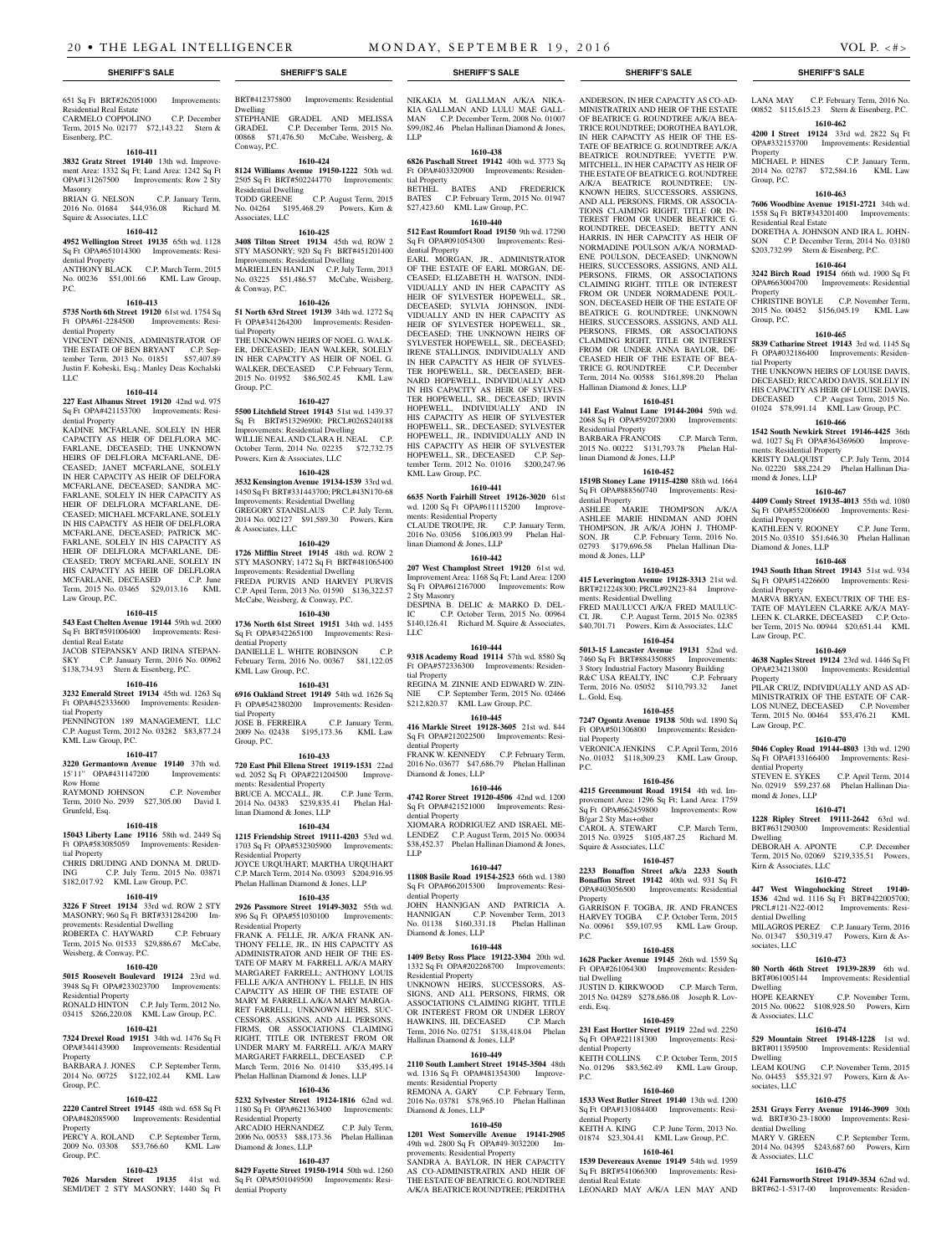### 651 Sq Ft BRT#262051000 Improvements: Residential Real Estate CARMELO COPPOLINO C.P. December Term, 2015 No. 02177 \$72,143.22 Stern & Eisenberg, P.C.

### **1610-411**

**3832 Gratz Street 19140** 13th wd. Improvement Area: 1332 Sq Ft; Land Area: 1242 Sq Ft OPA#131267500 Improvements: Row 2 Sty Masonry BRIAN G. NELSON C.P. January Term, 2016 No. 01684 \$44,936.08 Richard M.

### **1610-412**

Squire & Associates, LLC

**4952 Wellington Street 19135** 65th wd. 1128 Sq Ft OPA#651014300 Improvements: Residential Property

ANTHONY BLACK C.P. March Term, 2015 No. 00236 \$51,001.66 KML Law Group, P.C.

### **1610-413**

**5735 North 6th Street 19120** 61st wd. 1754 Sq Ft OPA#61-2284500 Improvements: Residential Property

VINCENT DENNIS, ADMINISTRATOR OF THE ESTATE OF BEN BRYANT C.P. September Term, 2013 No. 01851 \$57,407.89 Justin F. Kobeski, Esq.; Manley Deas Kochalski LLC

#### **1610-414**

**227 East Albanus Street 19120** 42nd wd. 975 Sq Ft OPA#421153700 Improvements: Residential Property

KADINE MCFARLANE, SOLELY IN HER CAPACITY AS HEIR OF DELFLORA MC-FARLANE, DECEASED; THE UNKNOWN HEIRS OF DELFLORA MCFARLANE, DE-CEASED; JANET MCFARLANE, SOLELY IN HER CAPACITY AS HEIR OF DELFORA MCFARLANE, DECEASED; SANDRA MC-FARLANE, SOLELY IN HER CAPACITY AS HEIR OF DELFLORA MCFARLANE, DE-CEASED; MICHAEL MCFARLANE, SOLELY IN HIS CAPACITY AS HEIR OF DELFLORA MCFARLANE, DECEASED; PATRICK MC-FARLANE, SOLELY IN HIS CAPACITY AS HEIR OF DELFLORA MCFARLANE, DE-CEASED; TROY MCFARLANE, SOLELY IN HIS CAPACITY AS HEIR OF DELFLORA MCFARLANE, DECEASED C.P. June Term, 2015 No. 03465 \$29,013.16 KML Law Group, P.C.

### **1610-415**

**543 East Chelten Avenue 19144** 59th wd. 2000 Sq Ft BRT#591006400 Improvements: Residential Real Estate

JACOB STEPANSKY AND IRINA STEPAN-SKY C.P. January Term, 2016 No. 00962 \$138,734.93 Stern & Eisenberg, P.C.

### **1610-416**

**3232 Emerald Street 19134** 45th wd. 1263 Sq Ft OPA#452333600 Improvements: Residential Property

PENNINGTON 189 MANAGEMENT, LLC C.P. August Term, 2012 No. 03282 \$83,877.24 KML Law Group, P.C.

### **1610-417**

**3220 Germantown Avenue 19140** 37th wd. 15'11" OPA#431147200 Improvements:

Row Home RAYMOND JOHNSON C.P. November Term, 2010 No. 2939 \$27,305.00 David I. Grunfeld, Esq.

### **1610-418**

**15043 Liberty Lane 19116** 58th wd. 2449 Sq Ft OPA#583085059 Improvements: Residential Property

CHRIS DRUDING AND DONNA M. DRUD-ING C.P. July Term, 2015 No. 03871 \$182,017.92 KML Law Group, P.C.

### **1610-419**

**3226 F Street 19134** 33rd wd. ROW 2 STY MASONRY; 960 Sq Ft BRT#331284200 Improvements: Residential Dwelling ROBERTA C. HAYWARD C.P. February

Term, 2015 No. 01533 \$29,886.67 McCabe, Weisberg, & Conway, P.C. **1610-420**

**5015 Roosevelt Boulevard 19124** 23rd wd. 3948 Sq Ft OPA#233023700 Improvements: Residential Property

RONALD HINTON C.P. July Term, 2012 No. 03415 \$266,220.08 KML Law Group, P.C. **1610-421**

### **7324 Drexel Road 19151** 34th wd. 1476 Sq Ft

OPA#344143900 Improvements: Residential Property BARBARA J. JONES C.P. September Term,

2014 No. 00725 \$122,102.44 KML Law Group, P.C.

### **1610-422**

**2220 Cantrel Street 19145** 48th wd. 658 Sq Ft OPA#482085900 Improvements: Residential **Property** PERCY A. ROLAND C.P. September Term,

### 2009 No. 03308 \$53,766.60 KML Law Group, P.C.

### **1610-423**

**7026 Marsden Street 19135** 41st wd. SEMI/DET 2 STY MASONRY; 1440 Sq Ft BRT#412375800 Improvements: Residential Dwelling STEPHANIE GRADEL AND MELISSA GRADEL C.P. December Term, 2015 No. 00868 \$71,476.50 McCabe, Weisberg, & Conway, P.C.

**1610-424 8124 Williams Avenue 19150-1222** 50th wd. 2505 Sq Ft BRT#502244770 Improvements: Residential Dwelling C.P. August Term, 2015 No. 04264 \$195,468.29 Powers, Kirn & Associates, LLC

### **1610-425**

**3408 Tilton Street 19134** 45th wd. ROW 2 STY MASONRY; 920 Sq Ft BRT#451201400 Improvements: Residential Dwelling MARIELLEN HANLIN C.P. July Term, 2013 No. 03225 \$51,486.57 McCabe, Weisberg, & Conway, P.C.

### **1610-426**

**51 North 63rd Street 19139** 34th wd. 1272 Sq Ft OPA#341264200 Improvements: Residential Property THE UNKNOWN HEIRS OF NOEL G. WALK-ER, DECEASED; JEAN WALKER, SOLELY

IN HER CAPACITY AS HEIR OF NOEL G. WALKER, DECEASED C.P. February Term, 2015 No. 01952 \$86,502.45 KML Law Group, P.C.

#### **1610-427**

**5500 Litchfield Street 19143** 51st wd. 1439.37 Sq Ft BRT#513296900; PRCL#026S240188 Improvements: Residential Dwelling WILLIE NEAL AND CLARA H. NEAL C.P.<br>October Term, 2014 No. 02235 \$72.732.75 October Term, 2014 No. 02235 Powers, Kirn & Associates, LLC

### **1610-428**

**3532 Kensington Avenue 19134-1539** 33rd wd. 1450 Sq Ft BRT#331443700; PRCL#43N170-68 Improvements: Residential Dwelling GREGORY STANISLAUS C.P. July Term 2014 No. 002127 \$91,589.30 Powers, Kirn

## & Associates, LLC

**1610-429 1726 Mifflin Street 19145** 48th wd. ROW 2 STY MASONRY; 1472 Sq Ft BRT#481065400 Improvements: Residential Dwelling FREDA PURVIS AND HARVEY PURVIS C.P. April Term, 2013 No. 01590 \$136,322.57 McCabe, Weisberg, & Conway, P.C.

### **1610-430**

**1736 North 61st Street 19151** 34th wd. 1455 Sq Ft OPA#342265100 Improvements: Residential Property DANIELLE L. WHITE ROBINSON C.P. February Term, 2016 No. 00367 \$81,122.05 KML Law Group, P.C.

#### **1610-431**

**6916 Oakland Street 19149** 54th wd. 1626 Sq Ft OPA#542380200 Improvements: Residential Property JOSE B. FERREIRA C.P. January Term, 2009 No. 02438 \$195,173.36 KML Law

### **1610-433**

Group, P.C.

**720 East Phil Ellena Street 19119-1531** 22nd wd. 2052 Sq Ft OPA#221204500 Improvements: Residential Property BRUCE A. MCCALL, JR. C.P. June Term,

2014 No. 04383 \$239,835.41 Phelan Hallinan Diamond & Jones, LLP **1610-434**

### **1215 Friendship Street 19111-4203** 53rd wd. 1703 Sq Ft OPA#532305900 Improvements: Residential Property

JOYCE URQUHART; MARTHA URQUHART C.P. March Term, 2014 No. 03093 \$204,916.95 Phelan Hallinan Diamond & Jones, LLP

### **1610-435**

**2926 Passmore Street 19149-3032** 55th wd. 896 Sq Ft OPA#551030100 Improvements: Residential Property

FRANK A. FELLE, JR. A/K/A FRANK AN-THONY FELLE, JR., IN HIS CAPACITY AS ADMINISTRATOR AND HEIR OF THE ES-TATE OF MARY M. FARRELL A/K/A MARY MARGARET FARRELL; ANTHONY LOUIS FELLE A/K/A ANTHONY L. FELLE, IN HIS CAPACITY AS HEIR OF THE ESTATE OF MARY M. FARRELL A/K/A MARY MARGA-RET FARRELL; UNKNOWN HEIRS, SUC-CESSORS, ASSIGNS, AND ALL PERSONS, FIRMS, OR ASSOCIATIONS CLAIMING RIGHT, TITLE OR INTEREST FROM OR UNDER MARY M. FARRELL A/K/A MARY MARGARET FARRELL, DECEASED C.P. March Term, 2016 No. 01410 \$35,495.14 Phelan Hallinan Diamond & Jones, LLP

### **1610-436**

**5232 Sylvester Street 19124-1816** 62nd wd. 1180 Sq Ft OPA#621363400 Improvements: Residential Property ARCADIO HERNANDEZ C.P. July Term, 2006 No. 00533 \$88,173.36 Phelan Hallinan

Diamond & Jones, LLP **1610-437**

**8429 Fayette Street 19150-1914** 50th wd. 1260 Sq Ft OPA#501049500 Improvements: Residential Property

**SHERIFF'S SALE SHERIFF'S SALE SHERIFF'S SALE SHERIFF'S SALE SHERIFF'S SALE**

NIKAKIA M. GALLMAN A/K/A NIKA-KIA GALLMAN AND LULU MAE GALL-MAN C.P. December Term, 2008 No. 01007 \$99,082.46 Phelan Hallinan Diamond & Jones, LLP

ANDERSON, IN HER CAPACITY AS CO-AD-MINISTRATRIX AND HEIR OF THE ESTATE OF BEATRICE G. ROUNDTREE A/K/A BEA-TRICE ROUNDTREE; DOROTHEA BAYLOR, IN HER CAPACITY AS HEIR OF THE ES-TATE OF BEATRICE G. ROUNDTREE A/K/A BEATRICE ROUNDTREE; YVETTE P.W. MITCHELL, IN HER CAPACITY AS HEIR OF THE ESTATE OF BEATRICE G. ROUNDTREE A/K/A BEATRICE ROUNDTREE; UN-KNOWN HEIRS, SUCCESSORS, ASSIGNS, AND ALL PERSONS, FIRMS, OR ASSOCIA-TIONS CLAIMING RIGHT, TITLE OR IN-TEREST FROM OR UNDER BEATRICE G. ROUNDTREE, DECEASED; BETTY ANN HARRIS, IN HER CAPACITY AS HEIR OF NORMADINE POULSON A/K/A NORMAD-ENE POULSON, DECEASED; UNKNOWN HEIRS, SUCCESSORS, ASSIGNS, AND ALL PERSONS, FIRMS, OR ASSOCIATIONS CLAIMING RIGHT, TITLE OR INTEREST FROM OR UNDER NORMADENE POUL-SON, DECEASED HEIR OF THE ESTATE OF BEATRICE G. ROUNDTREE; UNKNOWN HEIRS, SUCCESSORS, ASSIGNS, AND ALL PERSONS, FIRMS, OR ASSOCIATIONS CLAIMING RIGHT, TITLE OR INTEREST FROM OR UNDER ANNA BAYLOR, DE-CEASED HEIR OF THE ESTATE OF BEA-TRICE G. ROUNDTREE C.P. December Term, 2014 No. 00588 \$161,898.20 Phelan

LANA MAY C.P. February Term, 2016 No. 00852 \$115,615.23 Stern & Eisenberg, P.C. **1610-462 4200 I Street 19124** 33rd wd. 2822 Sq Ft OPA#332153700 Improvements: Residential

MICHAEL P. HINES C.P. January Term, 2014 No. 02787 \$72,584.16 KML Law

**1610-463 7606 Woodbine Avenue 19151-2721** 34th wd. 1558 Sq Ft BRT#343201400 Improvements:

DORETHA A. JOHNSON AND IRA L. JOHN-<br>SON C.P. December Term. 2014 No. 03180 C.P. December Term, 2014 No. 03180

**1610-465 5839 Catharine Street 19143** 3rd wd. 1145 Sq Ft OPA#032186400 Improvements: Residen-

THE UNKNOWN HEIRS OF LOUISE DAVIS, DECEASED; RICCARDO DAVIS, SOLELY IN HIS CAPACITY AS HEIR OF LOUISE DAVIS, DECEASED C.P. August Term, 2015 No. 01024 \$78,991.14 KML Law Group, P.C. **1610-466 1542 South Newkirk Street 19146-4425** 36th wd. 1027 Sq Ft OPA#364369600 Improvements: Residential Property<br>KRISTY DALOUIST C.P. July Term. 2014

No. 02220 \$88,224.29 Phelan Hallinan Dia-

**1610-467 4409 Comly Street 19135-4013** 55th wd. 1080 Sq Ft OPA#552006600 Improvements: Resi-

KATHLEEN V. ROONEY C.P. June Term, 2015 No. 03510 \$51,646.30 Phelan Hallinan

**1610-468 1943 South Ithan Street 19143** 51st wd. 934 Sq Ft OPA#514226600 Improvements: Resi-

MARVA BRYAN, EXECUTRIX OF THE ES-TATE OF MAYLEEN CLARKE A/K/A MAY-LEEN K. CLARKE, DECEASED C.P. October Term, 2015 No. 00944 \$20,651.44 KML

**1610-469 4638 Naples Street 19124** 23rd wd. 1446 Sq Ft OPA#234213800 Improvements: Residential

PILAR CRUZ, INDIVIDUALLY AND AS AD-MINISTRATRIX OF THE ESTATE OF CAR-LOS NUNEZ, DECEASED C.P. November Term, 2015 No. 00464 \$53,476.21 KML

**1610-470 5046 Copley Road 19144-4803** 13th wd. 1290 Sq Ft OPA#133166400 Improvements: Resi-

STEVEN E. SYKES C.P. April Term, 2014 No. 02919 \$59,237.68 Phelan Hallinan Dia-

**1610-471 1228 Ripley Street 19111-2642** 63rd wd. BRT#631290300 Improvements: Residential

DEBORAH A. APONTE C.P. December Term, 2015 No. 02069 \$219,335.51 Powers,

**1610-472 447 West Wingohocking Street 19140- 1536** 42nd wd. 1116 Sq Ft BRT#422005700; PRCL#121-N22-0012 Improvements: Resi-

MILAGROS PEREZ C.P. January Term, 2016 No. 01347 \$50,319.47 Powers, Kirn & As-

**1610-473 80 North 46th Street 19139-2839** 6th wd. BRT#061005144 Improvements: Residential

2015 No. 00622 \$108,928.50 Powers, Kirn

**1610-474 529 Mountain Street 19148-1228** 1st wd. BRT#011359500 Improvements: Residential

LEAM KOUNG C.P. November Term, 2015 No. 04453 \$55,321.97 Powers, Kirn & As-

**1610-475 2531 Grays Ferry Avenue 19146-3909** 30th wd. BRT#30-23-18000 Improvements: Resi-

2014 No. 04395 \$243,687.60 Powers, Kirn

**1610-476 6241 Farnsworth Street 19149-3534** 62nd wd. BRT#62-1-5317-00 Improvements: Residen-

C.P. November Term,

C.P. September Term,

\$203,732.99 Stern & Eisenberg, P.C. **1610-464 3242 Birch Road 19154** 66th wd. 1900 Sq Ft OPA#663004700 Improvements: Residential Property CHRISTINE BOYLE C.P. November Term, 2015 No. 00452 \$156,045.19 KML Law

Property

Group, P.C.

Group, P.C.

tial Property

KRISTY DALQUIST

mond & Jones, LLP

dential Property

dential Property

Law Group, P.C.

Law Group, P.C.

dential Property

Dwelling

mond & Jones, LLP

Kirn & Associates, LLC

dential Dwelling

sociates, LLC

Dwelling<br>HOPE KEARNEY

& Associates, LLC

Dwelling

sociates, LLC

dential Dwelling<br>MARY V. GREEN

& Associates, LLC

Property

Diamond & Jones, LLP

Residential Real Estate

Hallinan Diamond & Jones, LLP

Residential Property

dential Property<br>ASHLEE MA

mond & Jones, LLP

L. Gold, Esq.

tial Property

B/gar 2 Sty Mas+other

Squire & Associates, LLC

P.C.

Property

tial Dwelling

dential Property<br>KEITH COLLINS

dential Property

dential Real Estate

erdi, Esq.

P.C.

P.C.

ments: Residential Dwelling

linan Diamond & Jones, LLP

**1610-451 141 East Walnut Lane 19144-2004** 59th wd. 2068 Sq Ft OPA#592072000 Improvements:

BARBARA FRANCOIS C.P. March Term, 2015 No. 00222 \$131,793.78 Phelan Hal-

**1610-452 1519B Stoney Lane 19115-4280** 88th wd. 1664 Sq Ft OPA#888560740 Improvements: Resi-

**1610-453 415 Leverington Avenue 19128-3313** 21st wd. BRT#212248300; PRCL#92N23-84 Improve-

FRED MAULUCCI A/K/A FRED MAULUC-CI, JR. C.P. August Term, 2015 No. 02385 \$40,701.71 Powers, Kirn & Associates, LLC **1610-454 5013-15 Lancaster Avenue 19131** 52nd wd. 7460 Sq Ft BRT#884350885 Improvements: 3 Story Industrial Factory Masonry Building R&C USA REALTY, INC C.P. February Term, 2016 No. 05052 \$110,793.32 Janet

**1610-455 7247 Ogontz Avenue 19138** 50th wd. 1890 Sq Ft OPA#501306800 Improvements: Residen-

VERONICA JENKINS C.P. April Term, 2016 No. 01032 \$118,309.23 KML Law Group,

**1610-456 4215 Greenmount Road 19154** 4th wd. Improvement Area: 1296 Sq Ft; Land Area: 1759 Sq Ft OPA#662459800 Improvements: Row

CAROL A. STEWART C.P. March Term, 2015 No. 03925 \$105,487.25 Richard M.

**1610-457 2233 Bonaffon Street a/k/a 2233 South Bonaffon Street 19142** 40th wd. 931 Sq Ft OPA#403056500 Improvements: Residential

GARRISON F. TOGBA, JR. AND FRANCES HARVEY TOGBA C.P. October Term, 2015 No. 00961 \$59,107.95 KML Law Group,

**1610-458 1628 Packer Avenue 19145** 26th wd. 1559 Sq Ft OPA#261064300 Improvements: Residen-

JUSTIN D. KIRKWOOD C.P. March Term, 2015 No. 04289 \$278,686.08 Joseph R. Lov-

**1610-459 231 East Hortter Street 19119** 22nd wd. 2250 Sq Ft OPA#221181300 Improvements: Resi-

No. 01296 \$83,562.49 KML Law Group,

**1610-460 1533 West Butler Street 19140** 13th wd. 1200 Sq Ft OPA#131084400 Improvements: Resi-

KEITH A. KING C.P. June Term, 2013 No. 01874 \$23,304.41 KML Law Group, P.C. **1610-461 1539 Devereaux Avenue 19149** 54th wd. 1959 Sq Ft BRT#541066300 Improvements: Resi-

LEONARD MAY A/K/A LEN MAY AND

C.P. October Term, 2015

MARIE THOMPSON A/K/A ASHLEE MARIE HINDMAN AND JOHN THOMPSON, JR A/K/A JOHN J. THOMP-SON, JR C.P. February Term, 2016 No. 02793 \$179,696.58 Phelan Hallinan Dia-

**1610-438**

## **6826 Paschall Street 19142** 40th wd. 3773 Sq

Ft OPA#403320900 Improvements: Residential Property BETHEL BATES AND FREDERICK BATES C.P. February Term, 2015 No. 01947

### \$27,423.60 KML Law Group, P.C. **1610-440**

**512 East Roumfort Road 19150** 9th wd. 17290 Sq Ft OPA#091054300 Improvements: Residential Property

EARL MORGAN, JR., ADMINISTRATOR OF THE ESTATE OF EARL MORGAN, DE-CEASED; ELIZABETH H. WATSON, INDI-VIDUALLY AND IN HER CAPACITY AS HEIR OF SYLVESTER HOPEWELL, SR., DECEASED; SYLVIA JOHNSON, INDI-VIDUALLY AND IN HER CAPACITY AS HEIR OF SYLVESTER HOPEWELL, SR., DECEASED; THE UNKNOWN HEIRS OF SYLVESTER HOPEWELL, SR., DECEASED; IRENE STALLINGS, INDIVIDUALLY AND IN HER CAPACITY AS HEIR OF SYLVES-TER HOPEWELL, SR., DECEASED; BER-NARD HOPEWELL, INDIVIDUALLY AND IN HIS CAPACITY AS HEIR OF SYLVES-TER HOPEWELL, SR., DECEASED; IRVIN HOPEWELL, INDIVIDUALLY AND IN HIS CAPACITY AS HEIR OF SYLVESTER HOPEWELL, SR., DECEASED; SYLVESTER HOPEWELL, JR., INDIVIDUALLY AND IN HIS CAPACITY AS HEIR OF SYLVESTER HOPEWELL, SR., DECEASED C.P. September Term, 2012 No. 01016 \$200,247.96 KML Law Group, P.C.

### **1610-441**

**6635 North Fairhill Street 19126-3020** 61st wd. 1200 Sq Ft OPA#611115200 Improve-

ments: Residential Property CLAUDE TROUPE, JR. C.P. January Term, 2016 No. 03056 \$106,003.99 Phelan Hallinan Diamond & Jones, LLP

### **1610-442**

**207 West Champlost Street 19120** 61st wd. Improvement Area: 1168 Sq Ft; Land Area: 1200 Sq Ft OPA#612167000 Improvements: Row 2 Sty Masonry

DESPINA B. DELIC & MARKO D. DEL-IC C.P. October Term, 2015 No. 00964 \$140,126.41 Richard M. Squire & Associates, LLC

### **1610-444**

**9318 Academy Road 19114** 57th wd. 8580 Sq Ft OPA#572336300 Improvements: Residential Property REGINA M. ZINNIE AND EDWARD W. ZIN-NIE C.P. September Term, 2015 No. 02466 \$212,820.37 KML Law Group, P.C.

### **1610-445**

**416 Markle Street 19128-3605** 21st wd. 844 Sq Ft OPA#212022500 Improvements: Residential Property FRANK W. KENNEDY C.P. February Term

2016 No. 03677 \$47,686.79 Phelan Hallinan Diamond & Jones, LLP

### **1610-446**

**4742 Rorer Street 19120-4506** 42nd wd. 1200 Sq Ft OPA#421521000 Improvements: Residential Property XIOMARA RODRIGUEZ AND ISRAEL ME-

LENDEZ C.P. August Term, 2015 No. 00034 \$38,452.37 Phelan Hallinan Diamond & Jones, LLP

### **1610-447**

**11808 Basile Road 19154-2523** 66th wd. 1380 Sq Ft OPA#662015300 Improvements: Residential Property

JOHN HANNIGAN AND PATRICIA A. HANNIGAN C.P. November Term, 2013 No. 01138 \$160,331.18 Phelan Hallinan Diamond & Jones, LLP

### **1610-448**

**1409 Betsy Ross Place 19122-3304** 20th wd. 1332 Sq Ft OPA#202268700 Improvements: Residential Property

UNKNOWN HEIRS, SUCCESSORS, AS-SIGNS, AND ALL PERSONS, FIRMS, OR ASSOCIATIONS CLAIMING RIGHT, TITLE OR INTEREST FROM OR UNDER LEROY HAWKINS, III, DECEASED C.P. March Term, 2016 No. 02751 \$138,418.04 Phelan Hallinan Diamond & Jones, LLP

### **1610-449**

**2110 South Lambert Street 19145-3504** 48th wd. 1316 Sq Ft OPA#481354300 Improvements: Residential Property REMONA A. GARY C.P. February Term, 2016 No. 03781 \$78,965.10 Phelan Hallinan Diamond & Jones, LLP

### **1610-450**

**1201 West Somerville Avenue 19141-2905**  49th wd. 2800 Sq Ft OPA#49-3032200 provements: Residential Property SANDRA A. BAYLOR, IN HER CAPACITY

AS CO-ADMINISTRATRIX AND HEIR OF THE ESTATE OF BEATRICE G. ROUNDTREE A/K/A BEATRICE ROUNDTREE; PERDITHA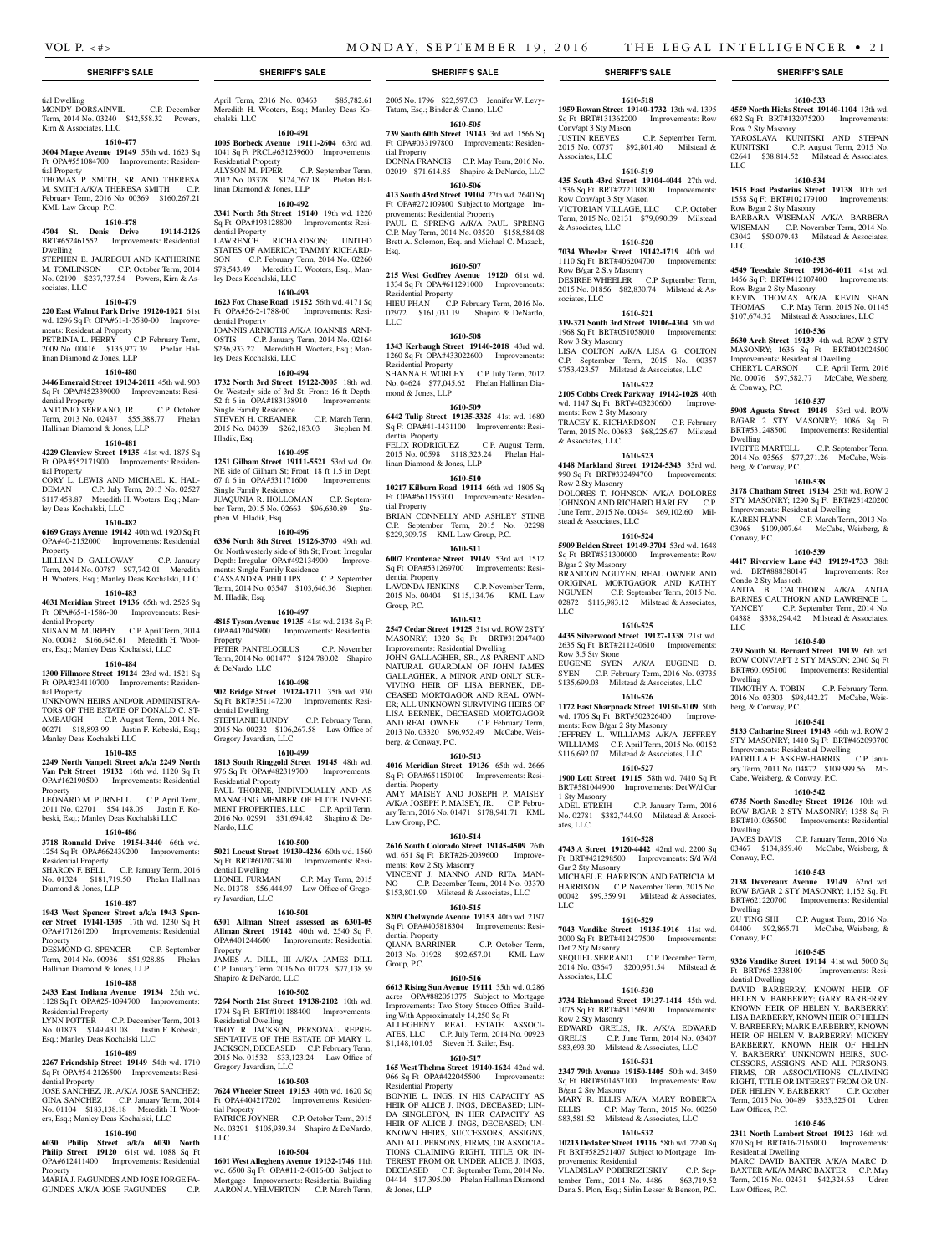Conv/apt 3 Sty Mason

Row Conv/apt 3 Sty Mason

Row B/gar 2 Sty Masonry

Associates, LLC

& Associates, LLC

sociates, LLC

Row 3 Sty Masonry

ments: Row 2 Sty Masonry

& Associates, LLC

Row 2 Sty Masonry

stead & Associates, LLC

B/gar 2 Sty Masonry

Row 3.5 Sty Stone

1 Sty Masonry

Gar 2 Sty Masonry

Det 2 Sty Masonry

Associates, LLC

Row 2 Sty Masonry

B/gar 2 Sty Masonry

provements: Residential

ates, LLC

LLC

ments: Row B/gar 2 Sty Masonry

LLC

**1610-518 1959 Rowan Street 19140-1732** 13th wd. 1395 Sq Ft BRT#131362200 Improvements: Row

**1610-533 4559 North Hicks Street 19140-1104** 13th wd. 682 Sq Ft BRT#132075200 Improvements:

YAROSLAVA KUNITSKI AND STEPAN<br>KUNITSKI C.P. August Term. 2015 No.

02641 \$38,814.52 Milstead & Associates,

**1610-534 1515 East Pastorius Street 19138** 10th wd. 1558 Sq Ft BRT#102179100 Improvements:

BARBARA WISEMAN A/K/A BARBERA WISEMAN C.P. November Term, 2014 No. 03042 \$50,079.43 Milstead & Associates,

**1610-535 4549 Teesdale Street 19136-4011** 41st wd. 1456 Sq Ft BRT#412107400 Improvements:

KEVIN THOMAS A/K/A KEVIN SEAN THOMAS C.P. May Term, 2015 No. 01145 \$107,674.32 Milstead & Associates, LLC **1610-536 5630 Arch Street 19139** 4th wd. ROW 2 STY MASONRY; 1636 Sq Ft BRT#042024500 Improvements: Residential Dwelling CHERYL CARSON C.P. April Term, 2016 No. 00076 \$97,582.77 McCabe, Weisberg,

**1610-537 5908 Agusta Street 19149** 53rd wd. ROW B/GAR 2 STY MASONRY; 1086 Sq Ft BRT#531248500 Improvements: Residential

IVETTE MARTELL C.P. September Term, 2014 No. 03565 \$77,271.26 McCabe, Weis-

**1610-538 3178 Chatham Street 19134** 25th wd. ROW 2 STY MASONRY; 1290 Sq Ft BRT#251420200 Improvements: Residential Dwelling KAREN FLYNN C.P. March Term, 2013 No. 03968 \$109,007.64 McCabe, Weisberg, &

**1610-539 4417 Riverview Lane #43 19129-1733** 38th wd. BRT#888380147 Improvements: Res

ANITA B. CAUTHORN A/K/A ANITA BARNES CAUTHORN AND LAWRENCE L. YANCEY C.P. September Term, 2014 No. 04388 \$338,294.42 Milstead & Associates,

**1610-540 239 South St. Bernard Street 19139** 6th wd. ROW CONV/APT 2 STY MASON: 2040 Sq Ft BRT#601095100 Improvements: Residential

TIMOTHY A. TOBIN C.P. February Term, 2016 No. 03303 \$98,442.27 McCabe, Weis-

**1610-541 5133 Catharine Street 19143** 46th wd. ROW 2 STY MASONRY: 1410 Sq Ft BRT#462093700 Improvements: Residential Dwelling PATRILLA E. ASKEW-HARRIS C.P. January Term, 2011 No. 04872 \$109,999.56 Mc-

**1610-542 6735 North Smedley Street 19126** 10th wd. ROW B/GAR 2 STY MASONRY; 1358 Sq Ft BRT#101036500 Improvements: Residential

JAMES DAVIS C.P. January Term, 2016 No. 03467 \$134,859.40 McCabe, Weisberg, &

**1610-543 2138 Devereaux Avenue 19149** 62nd wd. ROW B/GAR 2 STY MASONRY; 1,152 Sq. Ft. BRT#621220700 Improvements: Residential

ZU TING SHI C.P. August Term, 2016 No. 04400 \$92,865.71 McCabe, Weisberg, &

**1610-545 9326 Vandike Street 19114** 41st wd. 5000 Sq Ft BRT#65-2338100 Improvements: Resi-

DAVID BARBERRY, KNOWN HEIR OF HELEN V. BARBERRY; GARY BARBERRY, KNOWN HEIR OF HELEN V. BARBERRY; LISA BARBERRY, KNOWN HEIR OF HELEN V. BARBERRY; MARK BARBERRY, KNOWN HEIR OF HELEN V. BARBERRY; MICKEY BARBERRY, KNOWN HEIR OF V. BARBERRY; UNKNOWN HEIRS, SUC-CESSORS, ASSIGNS, AND ALL PERSONS, FIRMS, OR ASSOCIATIONS CLAIMING RIGHT, TITLE OR INTEREST FROM OR UN-DER HELEN V. BARBERRY C.P. October Term, 2015 No. 00489 \$353,525.01 Udren

**1610-546 2311 North Lambert Street 19123** 16th wd. 870 Sq Ft BRT#16-2165000 Improvements:

MARC DAVID BAXTER A/K/A MARC D. BAXTER A/K/A MARC BAXTER C.P. May Term, 2016 No. 02431 \$42,324.63 Udren

C.P. August Term, 2015 No.

Row 2 Sty Masonry

Row B/gar 2 Sty Masonry

Row B/gar 2 Sty Masonry

& Conway, P.C.

berg, & Conway, P.C.

Dwelling

Conway, P.C.

LLC

Dwelling

Dwelling

Dwelling

Conway, P.C.

dential Dwelling

Law Offices, P.C.

Residential Dwelling

Law Offices, P.C.

Conway, P.C.

berg, & Conway, P.C.

Cabe, Weisberg, & Conway, P.C.

Condo 2 Sty Mas+oth

LLC

LLC

JUSTIN REEVES C.P. September Term, 2015 No. 00757 \$92,801.40 Milstead &

**1610-519 435 South 43rd Street 19104-4044** 27th wd. 1536 Sq Ft BRT#272110800 Improvements:

VICTORIAN VILLAGE, LLC C.P. October Term, 2015 No. 02131 \$79,090.39 Milstead

**1610-520 7034 Wheeler Street 19142-1719** 40th wd. 1110 Sq Ft BRT#406204700 Improvements:

DESIREE WHEELER C.P. September Term, 2015 No. 01856 \$82,830.74 Milstead & As-

**1610-521 319-321 South 3rd Street 19106-4304** 5th wd. 1968 Sq Ft BRT#051058010 Improvements:

LISA COLTON A/K/A LISA G. COLTON C.P. September Term, 2015 No. 00357 \$753,423.57 Milstead & Associates, LLC **1610-522 2105 Cobbs Creek Parkway 19142-1028** 40th wd. 1147 Sq Ft BRT#403230600 Improve-

TRACEY K. RICHARDSON C.P. February Term, 2015 No. 00683 \$68,225.67 Milstead

**1610-523 4148 Markland Street 19124-5343** 33rd wd. 990 Sq Ft BRT#332494700 Improvements:

DOLORES T. JOHNSON A/K/A DOLORES JOHNSON AND RICHARD HARLEY C.P. June Term, 2015 No. 00454 \$69,102.60 Mil-

**1610-524 5909 Belden Street 19149-3704** 53rd wd. 1648 Sq Ft BRT#531300000 Improvements: Row

BRANDON NGUYEN, REAL OWNER AND ORIGINAL MORTGAGOR AND KATHY<br>NGUYEN C.P. September Term, 2015 No.

02872 \$116,983.12 Milstead & Associates,

**1610-525 4435 Silverwood Street 19127-1338** 21st wd. 2635 Sq Ft BRT#211240610 Improvements:

EUGENE SYEN A/K/A EUGENE D. SYEN C.P. February Term, 2016 No. 03735 \$135,699.03 Milstead & Associates, LLC **1610-526 1172 East Sharpnack Street 19150-3109** 50th wd. 1706 Sq Ft BRT#502326400 Improve-

JEFFREY L. WILLIAMS A/K/A JEFFREY WILLIAMS C.P. April Term, 2015 No. 00152 \$116,692.07 Milstead & Associates, LLC **1610-527 1900 Lott Street 19115** 58th wd. 7410 Sq Ft BRT#581044900 Improvements: Det W/d Gar

No. 02781 \$382,744.90 Milstead & Associ-

**1610-528 4743 A Street 19120-4442** 42nd wd. 2200 Sq Ft BRT#421298500 Improvements: S/d W/d

MICHAEL E. HARRISON AND PATRICIA M. HARRISON C.P. November Term, 2015 No. 00042 \$99,359.91 Milstead & Associates,

**1610-529 7043 Vandike Street 19135-1916** 41st wd. 2000 Sq Ft BRT#412427500 Improvements:

SEQUIEL SERRANO C.P. December Term, 2014 No. 03647 \$200,951.54 Milstead &

**1610-530 3734 Richmond Street 19137-1414** 45th wd. 1075 Sq Ft BRT#451156900 Improvements:

EDWARD GRELIS, JR. A/K/A EDWARD GRELIS C.P. June Term, 2014 No. 03407 \$83,693.30 Milstead & Associates, LLC **1610-531 2347 79th Avenue 19150-1405** 50th wd. 3459 Sq Ft BRT#501457100 Improvements: Row

MARY R. ELLIS A/K/A MARY ROBERTA ELLIS C.P. May Term, 2015 No. 00260 \$83,581.52 Milstead & Associates, LLC **1610-532 10213 Dedaker Street 19116** 58th wd. 2290 Sq Ft BRT#582521407 Subject to Mortgage Im-

VLADISLAV POBEREZHSKIY C.P. September Term, 2014 No. 4486 \$63,719.52 Dana S. Plon, Esq.; Sirlin Lesser & Benson, P.C.

C.P. January Term, 2016

C.P. September Term, 2015 No.

### **SHERIFF'S SALE SHERIFF'S SALE SHERIFF'S SALE SHERIFF'S SALE SHERIFF'S SALE**

tial Dwelling<br>MONDY DORSAINVIL MONDY DORSAINVIL C.P. December Term, 2014 No. 03240 \$42,558.32 Powers, Kirn & Associates, LLC

### **1610-477**

#### **3004 Magee Avenue 19149** 55th wd. 1623 Sq Ft OPA#551084700 Improvements: Residential Property

THOMAS P. SMITH, SR. AND THERESA M. SMITH A/K/A THERESA SMITH C.P. February Term, 2016 No. 00369 \$160,267.21 KML Law Group, P.C.

### **1610-478**

### **4704 St. Denis Drive 19114-2126**  BRT#652461552 Improvements: Residential

Dwelling STEPHEN E. JAUREGUI AND KATHERINE M. TOMLINSON C.P. October Term, 2014 No. 02190 \$237,737.54 Powers, Kirn & Associates, LLC

#### **1610-479**

#### **220 East Walnut Park Drive 19120-1021** 61st wd. 1296 Sq Ft OPA#61-1-3580-00 Improvements: Residential Property

PETRINIA L. PERRY C.P. February Term, 2009 No. 00416 \$135,977.39 Phelan Hallinan Diamond & Jones, LLP

### **1610-480**

### **3446 Emerald Street 19134-2011** 45th wd. 903 Sq Ft OPA#452339000 Improvements: Residential Property

ANTONIO SERRANO, JR. C.P. October Term, 2013 No. 02437 \$55,388.77 Phelan Hallinan Diamond & Jones, LLP

### **1610-481**

**4229 Glenview Street 19135** 41st wd. 1875 Sq Ft OPA#552171900 Improvements: Residential Property

CORY L. LEWIS AND MICHAEL K. HAL-DEMAN C.P. July Term, 2013 No. 02527 \$117,458.87 Meredith H. Wooters, Esq.; Manley Deas Kochalski, LLC

### **1610-482**

**6169 Grays Avenue 19142** 40th wd. 1920 Sq Ft OPA#40-2152000 Improvements: Residential Property LILLIAN D. GALLOWAY C.P. January Term, 2014 No. 00787 \$97,742.01 Meredith

H. Wooters, Esq.; Manley Deas Kochalski, LLC **1610-483**

**4031 Meridian Street 19136** 65th wd. 2525 Sq Ft OPA#65-1-1586-00 Improvements: Residential Property SUSAN M. MURPHY C.P. April Term, 2014

### No. 00042 \$166,645.61 Meredith H. Wooters, Esq.; Manley Deas Kochalski, LLC **1610-484**

**1300 Fillmore Street 19124** 23rd wd. 1521 Sq Ft OPA#234110700 Improvements: Residen-

tial Property UNKNOWN HEIRS AND/OR ADMINISTRA-TORS OF THE ESTATE OF DONALD C. ST-AMBAUGH C.P. August Term, 2014 No. 00271 \$18,893.99 Justin F. Kobeski, Esq.; Manley Deas Kochalski LLC

## **1610-485**

**2249 North Vanpelt Street a/k/a 2249 North Van Pelt Street 19132** 16th wd. 1120 Sq Ft OPA#162190500 Improvements: Residential

Property LEONARD M. PURNELL C.P. April Term, 2011 No. 02701 \$54,148.05 Justin F. Kobeski, Esq.; Manley Deas Kochalski LLC

### **1610-486**

**3718 Ronnald Drive 19154-3440** 66th wd.

#### 1254 Sq Ft OPA#662439200 Improvements: Residential Property SHARON F. BELL C.P. January Term, 2016 NAROIN F. DELL C.I. sanuary Term, 2010<br>No. 01324 \$181,719.50 Phelan Hallinan

Diamond & Jones, LLP **1610-487**

**1943 West Spencer Street a/k/a 1943 Spencer Street 19141-1305** 17th wd. 1230 Sq Ft OPA#171261200 Improvements: Residential Property

DESMOND G. SPENCER C.P. September Term, 2014 No. 00936 \$51,928.86 Phelan Hallinan Diamond & Jones, LLP

### **1610-488**

**2433 East Indiana Avenue 19134** 25th wd. 1128 Sq Ft OPA#25-1094700 Improvements: Residential Property

LYNN POTTER C.P. December Term, 2013 No. 01873 \$149,431.08 Justin F. Kobeski, Esq.; Manley Deas Kochalski LLC

### **1610-489**

**2267 Friendship Street 19149** 54th wd. 1710 Sq Ft OPA#54-2126500 Improvements: Residential Property JOSE SANCHEZ, JR. A/K/A JOSE SANCHEZ;

GINA SANCHEZ C.P. January Term, 2014 No. 01104 \$183,138.18 Meredith H. Wooters, Esq.; Manley Deas Kochalski, LLC

### **1610-490**

**6030 Philip Street a/k/a 6030 North Philip Street 19120** 61st wd. 1088 Sq Ft OPA#612411400 Improvements: Residential Property

MARIA J. FAGUNDES AND JOSE JORGE FA-GUNDES A/K/A JOSE FAGUNDES C.P.

April Term, 2016 No. 03463 \$85,782.61 Meredith H. Wooters, Esq.; Manley Deas Kochalski, LLC

**1610-491**

#### **1005 Borbeck Avenue 19111-2604** 63rd wd. 1041 Sq Ft PRCL#631259600 Improvements: Residential Property<br>ALYSON M. PIPER C.P. September Term, 2012 No. 03378 \$124,767.18 Phelan Hallinan Diamond & Jones, LLP

## **1610-492**

**3341 North 5th Street 19140** 19th wd. 1220 Sq Ft OPA#193128800 Improvements: Residential Property LAWRENCE RICHARDSON; UNITED STATES OF AMERICA; TAMMY RICHARD-SON C.P. February Term, 2014 No. 02260 \$78,543.49 Meredith H. Wooters, Esq.; Manley Deas Kochalski, LLC

### **1610-493**

**1623 Fox Chase Road 19152** 56th wd. 4171 Sq Ft OPA#56-2-1788-00 Improvements: Residential Property IOANNIS ARNIOTIS A/K/A IOANNIS ARNI-OSTIS C.P. January Term, 2014 No. 02164 \$236,933.22 Meredith H. Wooters, Esq.; Manley Deas Kochalski, LLC

### **1610-494**

**1732 North 3rd Street 19122-3005** 18th wd. On Westerly side of 3rd St; Front: 16 ft Depth: 52 ft 6 in OPA#183138910 Improvements: Single Family Residence STEVEN H. CREAMER C.P. March Term, 2015 No. 04339 \$262,183.03 Stephen M. Hladik, Esq.

#### **1610-495**

**1251 Gilham Street 19111-5521** 53rd wd. On NE side of Gilham St; Front: 18 ft 1.5 in Dept: 67 ft 6 in OPA#531171600 Improvements: Single Family Residence JUAQUNIA R. HOLLOMAN C.P. September Term, 2015 No. 02663 \$96,630.89 Stephen M. Hladik, Esq.

### **1610-496**

**6336 North 8th Street 19126-3703** 49th wd. On Northwesterly side of 8th St; Front: Irregular Depth: Irregular OPA#492134900 Improvements: Single Family Residence CASSANDRA PHILLIPS C.P. September Term, 2014 No. 03547 \$103,646.36 Stephen M. Hladik, Esq.

#### **1610-497**

**4815 Tyson Avenue 19135** 41st wd. 2138 Sq Ft OPA#412045900 Improvements: Residential Property PETER PANTELOGLUS C.P. November Term, 2014 No. 001477 \$124,780.02 Shapiro & DeNardo, LLC

### **1610-498**

**902 Bridge Street 19124-1711** 35th wd. 930 Sq Ft BRT#351147200 Improvements: Residential Dwelling STEPHANIE LUNDY C.P. February Term, 2015 No. 00232 \$106,267.58 Law Office of Gregory Javardian, LLC

### **1610-499**

**1813 South Ringgold Street 19145** 48th wd. 976 Sq Ft OPA#482319700 Improvements: Residential Property PAUL THORNE, INDIVIDUALLY AND AS

MANAGING MEMBER OF ELITE INVEST-MENT PROPERTIES, LLC C.P. April Term, 2016 No. 02991 \$31,694.42 Shapiro & De-Nardo, LLC

### **1610-500**

**5021 Locust Street 19139-4236** 60th wd. 1560 Sq Ft BRT#602073400 Improvements: Residential Dwelling<br>LIONEL FURMAN LIONEL FURMAN C.P. May Term, 2015 No. 01378 \$56,444.97 Law Office of Gregory Javardian, LLC

### **1610-501**

**6301 Allman Street assessed as 6301-05 Allman Street 19142** 40th wd. 2540 Sq Ft OPA#401244600 Improvements: Residential Property JAMES A. DILL, III A/K/A JAMES DILL C.P. January Term, 2016 No. 01723 \$77,138.59

### **1610-502**

Shapiro & DeNardo, LLC

**7264 North 21st Street 19138-2102** 10th wd. 1794 Sq Ft BRT#101188400 Improvements: Residential Dwelling TROY R. JACKSON, PERSONAL REPRE-SENTATIVE OF THE ESTATE OF MARY L. JACKSON, DECEASED C.P. February Term, 2015 No. 01532 \$33,123.24 Law Office of Gregory Javardian, LLC

### **1610-503**

**7624 Wheeler Street 19153** 40th wd. 1620 Sq Ft OPA#404217202 Improvements: Residential Property

PATRICE JOYNER C.P. October Term, 2015 No. 03291 \$105,939.34 Shapiro & DeNardo, LLC

#### **1610-504**

**1601 West Allegheny Avenue 19132-1746** 11th wd. 6500 Sq Ft OPA#11-2-0016-00 Subject to Mortgage Improvements: Residential Building AARON A. YELVERTON C.P. March Term,

2005 No. 1796 \$22,597.03 Jennifer W. Levy-Tatum, Esq.; Binder & Canno, LLC

### **1610-505**

**739 South 60th Street 19143** 3rd wd. 1566 Sq Ft OPA#033197800 Improvements: Residential Property DONNA FRANCIS C.P. May Term, 2016 No.

02019 \$71,614.85 Shapiro & DeNardo, LLC **1610-506**

**413 South 43rd Street 19104** 27th wd. 2640 Sq Ft OPA#272109800 Subject to Mortgage Improvements: Residential Property PAUL E. SPRENG A/K/A PAUL SPRENG C.P. May Term, 2014 No. 03520 \$158,584.08 Brett A. Solomon, Esq. and Michael C. Mazack, Esq.

### **1610-507**

LLC

**215 West Godfrey Avenue 19120** 61st wd. 1334 Sq Ft OPA#611291000 Improvements: Residential Property HIEU PHAN C.P. February Term, 2016 No. 02972 \$161,031.19 Shapiro & DeNardo,

### **1610-508**

**1343 Kerbaugh Street 19140-2018** 43rd wd. 1260 Sq Ft OPA#433022600 Improvements: Residential Property SHANNA E. WORLEY C.P. July Term, 2012 No. 04624 \$77,045.62 Phelan Hallinan Diamond & Jones, LLP

### **1610-509**

**6442 Tulip Street 19135-3325** 41st wd. 1680 Sq Ft OPA#41-1431100 Improvements: Residential Property<br>FELIX RODRIGUEZ FELIX RODRIGUEZ C.P. August Term, 2015 No. 00598 \$118,323.24 Phelan Hallinan Diamond & Jones, LLP

### **1610-510**

**10217 Kilburn Road 19114** 66th wd. 1805 Sq Ft OPA#661155300 Improvements: Residential Property BRIAN CONNELLY AND ASHLEY STINE C.P. September Term, 2015 No. 02298 \$229,309.75 KML Law Group, P.C.

### **1610-511**

**6007 Frontenac Street 19149** 53rd wd. 1512 Sq Ft OPA#531269700 Improvements: Residential Property LAVONDA JENKINS C.P. November Term, 2015 No. 00404 \$115,134.76 KML Law Group, P.C.

### **1610-512**

**2547 Cedar Street 19125** 31st wd. ROW 2STY MASONRY; 1320 Sq Ft BRT#312047400 Improvements: Residential Dwelling JOHN GALLAGHER, SR., AS PARENT AND NATURAL GUARDIAN OF JOHN JAMES GALLAGHER, A MINOR AND ONLY SUR-VIVING HEIR OF LISA BERNEK, DE-CEASED MORTGAGOR AND REAL OWN-ER; ALL UNKNOWN SURVIVING HEIRS OF LISA BERNEK, DECEASED MORTGAGOR AND REAL OWNER C.P. February Term, 2013 No. 03320 \$96,952.49 McCabe, Weisberg, & Conway, P.C.

### **1610-513**

**4016 Meridian Street 19136** 65th wd. 2666 Sq Ft OPA#651150100 Improvements: Residential Property AMY MAISEY AND JOSEPH P. MAISEY A/K/A JOSEPH P. MAISEY, JR. C.P. February Term, 2016 No. 01471 \$178,941.71 KML Law Group, P.C.

### **1610-514**

**2616 South Colorado Street 19145-4509** 26th wd. 651 Sq Ft BRT#26-2039600 Improvements: Row 2 Sty Masonry VINCENT J. MANNO AND RITA MAN-NO C.P. December Term, 2014 No. 03370 \$153,801.99 Milstead & Associates, LLC

#### **1610-515**

**8209 Chelwynde Avenue 19153** 40th wd. 2197 Sq Ft OPA#405818304 Improvements: Residential Property QIANA BARRINER C.P. October Term, 2013 No. 01928 \$92,657.01 KML Law Group, P.C.

**1610-516 6613 Rising Sun Avenue 19111** 35th wd. 0.286 acres OPA#882051375 Subject to Mortgage Improvements: Two Story Stucco Office Building With Approximately 14,250 Sq Ft<br>ALL EGHENY REAL ESTATE ASSOCI-ALLEGHENY REAL ESTATE ATES, LLC C.P. July Term, 2014 No. 00923 \$1,148,101.05 Steven H. Sailer, Esq. **1610-517 165 West Thelma Street 19140-1624** 42nd wd. 966 Sq Ft OPA#422045500 Improvements:

BONNIE L. INGS, IN HIS CAPACITY AS HEIR OF ALICE J. INGS, DECEASED; LIN-DA SINGLETON, IN HER CAPACITY AS HEIR OF ALICE I. INGS, DECEASED: UN-KNOWN HEIRS, SUCCESSORS, ASSIGNS, AND ALL PERSONS, FIRMS, OR ASSOCIA-TIONS CLAIMING RIGHT, TITLE OR IN-TEREST FROM OR UNDER ALICE J. INGS, DECEASED C.P. September Term, 2014 No. 04414 \$17,395.00 Phelan Hallinan Diamond

Residential Property

& Jones, LLP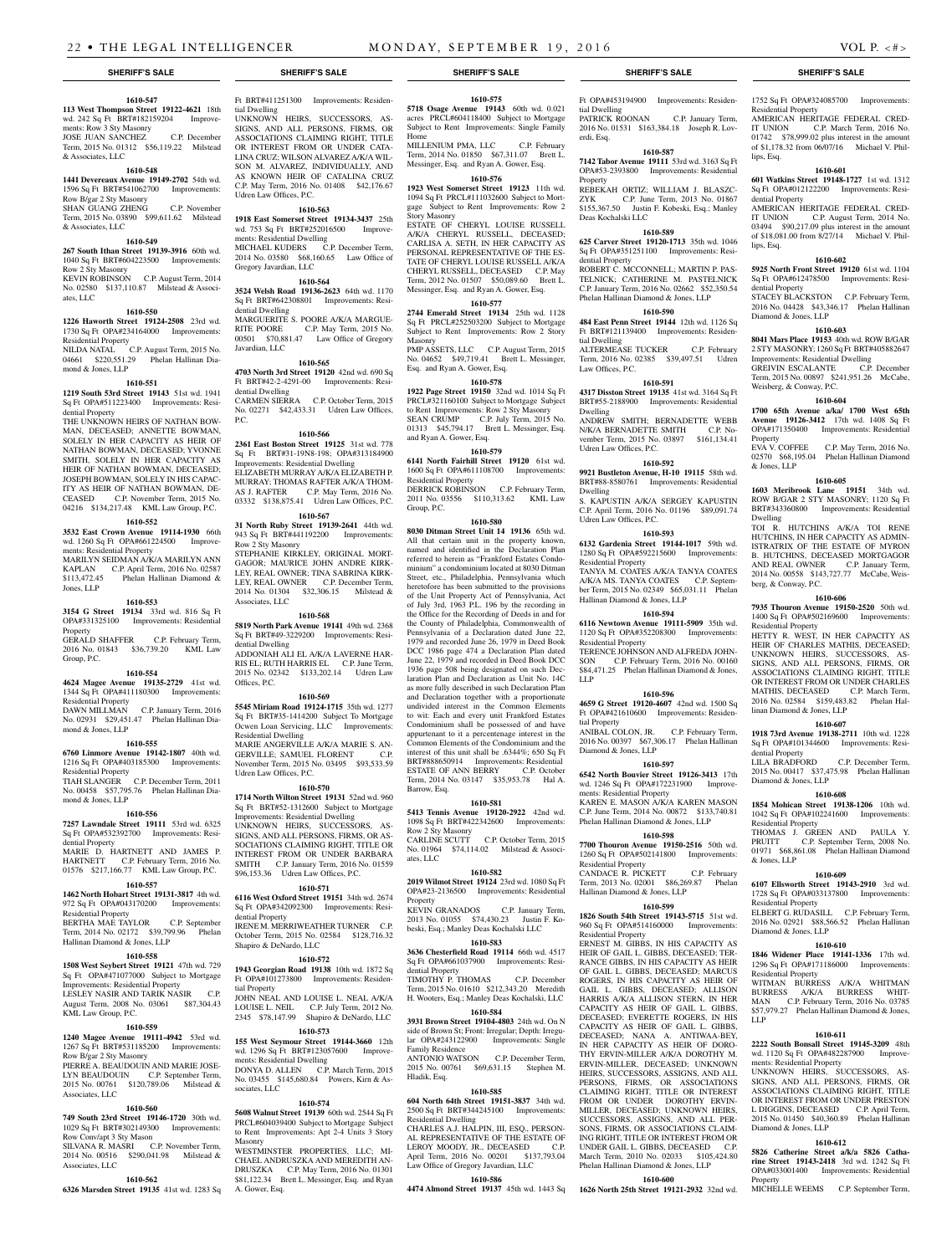### **1610-547**

**113 West Thompson Street 19122-4621** 18th wd. 242 Sq Ft BRT#182159204 Improvements: Row 3 Sty Masonry JOSE JUAN SANCHEZ C.P. December Term, 2015 No. 01312 \$56,119.22 Milstead

### & Associates, LLC **1610-548**

**1441 Devereaux Avenue 19149-2702** 54th wd. 1596 Sq Ft BRT#541062700 Improvements: Row B/gar 2 Sty Masonry SHAN GUANG ZHENG C.P. November

### Term, 2015 No. 03890 \$99,611.62 Milstead  $\&$  Associates, LLC **1610-549**

**267 South Ithan Street 19139-3916** 60th wd. 1040 Sq Ft BRT#604223500 Improvements: Row 2 Sty Masonry

KEVIN ROBINSON C.P. August Term, 2014 No. 02580 \$137,110.87 Milstead & Associates, LLC

### **1610-550**

**1226 Haworth Street 19124-2508** 23rd wd. 1730 Sq Ft OPA#234164000 Improvements: Residential Property

NILDA NATAL C.P. August Term, 2015 No. 04661 \$220,551.29 Phelan Hallinan Diamond & Jones, LLP

#### **1610-551**

**1219 South 53rd Street 19143** 51st wd. 1941 Sq Ft OPA#511223400 Improvements: Residential Property

THE UNKNOWN HEIRS OF NATHAN BOW-MAN, DECEASED; ANNETTE BOWMAN, SOLELY IN HER CAPACITY AS HEIR OF NATHAN BOWMAN, DECEASED; YVONNE SMITH, SOLELY IN HER CAPACITY AS HEIR OF NATHAN BOWMAN, DECEASED; JOSEPH BOWMAN, SOLELY IN HIS CAPAC-ITY AS HEIR OF NATHAN BOWMAN, DE-CEASED C.P. November Term, 2015 No. 04216 \$134,217.48 KML Law Group, P.C.

## **1610-552**

**3532 East Crown Avenue 19114-1930** 66th wd. 1260 Sq Ft OPA#661224500 Improvements: Residential Property MARILYN SEIDMAN A/K/A MARILYN ANN KAPLAN C.P. April Term, 2016 No. 02587

\$113,472.45 Phelan Hallinan Diamond & Jones, LLP **1610-553**

#### **3154 G Street 19134** 33rd wd. 816 Sq Ft OPA#331325100 Improvements: Residential Property GERALD SHAFFER C.P. February Term, 2016 No. 01843 \$36,739.20 KML Law

Group, P.C.

#### **1610-554 4624 Magee Avenue 19135-2729** 41st wd.

1344 Sq Ft OPA#411180300 Improvements: Residential Property DAWN MILLMAN C.P. January Term, 2016

### No. 02931 \$29,451.47 Phelan Hallinan Diamond & Jones, LLP

**1610-555**

**6760 Linmore Avenue 19142-1807** 40th wd. 1216 Sq Ft OPA#403185300 Improvements: Residential Property TIAH SLANGER C.P. December Term, 2011

No. 00458 \$57,795.76 Phelan Hallinan Diamond & Jones, LLP

### **1610-556**

**7257 Lawndale Street 19111** 53rd wd. 6325 Sq Ft OPA#532392700 Improvements: Residential Property MARIE D. HARTNETT AND JAMES P.

HARTNETT C.P. February Term, 2016 No. 01576 \$217,166.77 KML Law Group, P.C. **1610-557**

### **1462 North Hobart Street 19131-3817** 4th wd.

972 Sq Ft OPA#043170200 Improvements: Residential Property BERTHA MAE TAYLOR C.P. September Term, 2014 No. 02172 \$39,799.96 Phelan

Hallinan Diamond & Jones, LLP

### **1610-558**

**1508 West Seybert Street 19121** 47th wd. 729 Sq Ft OPA#471077000 Subject to Mortgage Improvements: Residential Property LESLEY NASIR AND TARIK NASIR C.P. August Term, 2008 No. 03061 \$87,304.43 KML Law Group, P.C.

### **1610-559**

**1240 Magee Avenue 19111-4942** 53rd wd. 1267 Sq Ft BRT#531185200 Improvements: Row B/gar 2 Sty Masonry

PIERRE A. BEAUDOUIN AND MARIE JOSE-LYN BEAUDOUIN C.P. September Term, 2015 No. 00761 \$120,789.06 Milstead & Associates, LLC

### **1610-560**

Associates, LLC

**749 South 23rd Street 19146-1720** 30th wd. 1029 Sq Ft BRT#302149300 Improvements: Row Conv/apt 3 Sty Mason SILVANA R. MASRI C.P. November Term,

2014 No. 00516 \$290,041.98 Milstead & **1610-562**

**6326 Marsden Street 19135** 41st wd. 1283 Sq

Ft BRT#411251300 Improvements: Residential Dwelling UNKNOWN HEIRS, SUCCESSORS, AS-SIGNS, AND ALL PERSONS, FIRMS, OR ASSOCIATIONS CLAIMING RIGHT, TITLE OR INTEREST FROM OR UNDER CATA-

LINA CRUZ; WILSON ALVAREZ A/K/A WIL-SON M. ALVAREZ, INDIVIDUALLY, AND AS KNOWN HEIR OF CATALINA CRUZ C.P. May Term, 2016 No. 01408 \$42,176.67 Udren Law Offices, P.C.

## **1610-563**

**1918 East Somerset Street 19134-3437** 25th wd. 753 Sq Ft BRT#252016500 Improvements: Residential Dwelling MICHAEL KUDERS C.P. December Term, 2014 No. 03580 \$68,160.65 Law Office of Gregory Javardian, LLC

### **1610-564**

**3524 Welsh Road 19136-2623** 64th wd. 1170 Sq Ft BRT#642308801 Improvements: Residential Dwelling MARGUERITE S. POORE A/K/A MARGUE-RITE POORE C.P. May Term, 2015 No. 00501 \$70,881.47 Law Office of Gregory Javardian, LLC

### **1610-565**

**4703 North 3rd Street 19120** 42nd wd. 690 Sq Ft BRT#42-2-4291-00 Improvements: Residential Dwelling CARMEN SIERRA C.P. October Term, 2015 No. 02271 \$42,433.31 Udren Law Offices, P.C.

### **1610-566**

**2361 East Boston Street 19125** 31st wd. 778 Sq Ft BRT#31-19N8-198; OPA#313184900 Improvements: Residential Dwelling ELIZABETH MURRAY A/K/A ELIZABETH P. MURRAY; THOMAS RAFTER A/K/A THOM-AS J. RAFTER C.P. May Term, 2016 No. 03332 \$138,875.41 Udren Law Offices, P.C.

### **1610-567**

**31 North Ruby Street 19139-2641** 44th wd. 943 Sq Ft BRT#441192200 Improvements: Row 2 Sty Masonry

STEPHANIE KIRKLEY, ORIGINAL MORT-GAGOR; MAURICE JOHN ANDRE KIRK-LEY, REAL OWNER; TINA SABRINA KIRK-LEY, REAL OWNER C.P. December Term, 2014 No. 01304 \$32,306.15 Milstead & Associates, LLC

### **1610-568**

**5819 North Park Avenue 19141** 49th wd. 2368 Sq Ft BRT#49-3229200 Improvements: Residential Dwelling ADDONIAH ALI EL A/K/A LAVERNE HAR-RIS EL; RUTH HARRIS EL C.P. June Term, 2015 No. 02342 \$133,202.14 Udren Law Offices, P.C.

### **1610-569**

**5545 Miriam Road 19124-1715** 35th wd. 1277 Sq Ft BRT#35-1414200 Subject To Mortgage Ocwen Loan Servicing, LLC Improvements: Residential Dwelling MARIE ANGERVILLE A/K/A MARIE S. AN-GERVILLE; SAMUEL FLORENT C.P. November Term, 2015 No. 03495 \$93,533.59 Udren Law Offices, P.C.

### **1610-570**

**1714 North Wilton Street 19131** 52nd wd. 960 Sq Ft BRT#52-1312600 Subject to Mortgage Improvements: Residential Dwelling UNKNOWN HEIRS, SUCCESSORS, AS-SIGNS, AND ALL PERSONS, FIRMS, OR AS-SOCIATIONS CLAIMING RIGHT, TITLE OR INTEREST FROM OR UNDER BARBARA SMITH C.P. January Term, 2016 No. 01559 \$96,153.36 Udren Law Offices, P.C.

### **1610-571**

**6116 West Oxford Street 19151** 34th wd. 2674 Sq Ft OPA#342092300 Improvements: Residential Property IRENE M. MERRIWEATHER TURNER C.P. October Term, 2015 No. 02584 \$128,716.32 Shapiro & DeNardo, LLC

### **1610-572**

**1943 Georgian Road 19138** 10th wd. 1872 Sq Ft OPA#101273800 Improvements: Residential Property

JOHN NEAL AND LOUISE L. NEAL A/K/A LOUISE L. NEIL C.P. July Term, 2012 No. 2345 \$78,147.99 Shapiro & DeNardo, LLC **1610-573**

## **155 West Seymour Street 19144-3660** 12th

wd. 1296 Sq Ft BRT#123057600 Improvements: Residential Dwelling DONYA D. ALLEN C.P. March Term, 2015 No. 03455 \$145,680.84 Powers, Kirn & Associates, LLC

### **1610-574**

**5608 Walnut Street 19139** 60th wd. 2544 Sq Ft PRCL#604039400 Subject to Mortgage Subject to Rent Improvements: Apt 2-4 Units 3 Story Masonry

WESTMINSTER PROPERTIES, LLC; MI-CHAEL ANDRUSZKA AND MEREDITH AN-DRUSZKA C.P. May Term, 2016 No. 01301 \$81,122.34 Brett L. Messinger, Esq. and Ryan A. Gower, Esq.

**SHERIFF'S SALE SHERIFF'S SALE SHERIFF'S SALE SHERIFF'S SALE SHERIFF'S SALE**

Ft OPA#453194900 Improvements: Residen-

1752 Sq Ft OPA#324085700 Improvements:

AMERICAN HERITAGE FEDERAL CRED-IT UNION C.P. March Term, 2016 No. 01742 \$78,999.02 plus interest in the amount of \$1,178.32 from 06/07/16 Michael V. Phil-

**1610-601 601 Watkins Street 19148-1727** 1st wd. 1312 Sq Ft OPA#012122200 Improvements: Resi-

AMERICAN HERITAGE FEDERAL CRED-IT UNION C.P. August Term, 2014 No. 03494 \$90,217.09 plus interest in the amount of \$18,081.00 from 8/27/14 Michael V. Phil-

**1610-602 5925 North Front Street 19120** 61st wd. 1104 Sq Ft OPA#612478500 Improvements: Resi-

STACEY BLACKSTON C.P. February Term, 2016 No. 04428 \$43,346.17 Phelan Hallinan

**1610-603 8041 Mars Place 19153** 40th wd. ROW B/GAR 2 STY MASONRY; 1260 Sq Ft BRT#405882647 Improvements: Residential Dwelling GREIVIN ESCALANTE C.P. December Term, 2015 No. 00897 \$241,951.26 McCabe,

**1610-604 1700 65th Avenue a/ka/ 1700 West 65th Avenue 19126-3412** 17th wd. 1408 Sq Ft OPA#171350400 Improvements: Residential

EVA V. COFFEE C.P. May Term, 2016 No. 02570 \$68,195.04 Phelan Hallinan Diamond

**1610-605 1603 Meribrook Lane 19151** 34th wd. ROW B/GAR 2 STY MASONRY; 1120 Sq Ft BRT#343360800 Improvements: Residential

TOI R. HUTCHINS A/K/A TOI RENE HUTCHINS, IN HER CAPACITY AS ADMIN-ISTRATRIX OF THE ESTATE OF MYRON B. HUTCHINS, DECEASED MORTGAGOR AND REAL OWNER C.P. January Term, 2014 No. 00558 \$143,727.77 McCabe, Weis-

**1610-606 7935 Thouron Avenue 19150-2520** 50th wd. 1400 Sq Ft OPA#502169600 Improvements:

HETTY R. WEST, IN HER CAPACITY AS HEIR OF CHARLES MATHIS, DECEASED; UNKNOWN HEIRS, SUCCESSORS, AS-SIGNS, AND ALL PERSONS, FIRMS, OR ASSOCIATIONS CLAIMING RIGHT, TITLE OR INTEREST FROM OR UNDER CHARLES MATHIS, DECEASED C.P. March Term, 2016 No. 02584 \$159,483.82 Phelan Hal-

**1610-607 1918 73rd Avenue 19138-2711** 10th wd. 1228 Sq Ft OPA#101344600 Improvements: Resi-

LILA BRADFORD C.P. December Term, 2015 No. 00417 \$37,475.98 Phelan Hallinan

**1610-608 1854 Mohican Street 19138-1206** 10th wd. 1042 Sq Ft OPA#102241600 Improvements:

THOMAS J. GREEN AND PAULA Y. PRUITT C.P. September Term, 2008 No. 01971 \$68,861.08 Phelan Hallinan Diamond

**1610-609 6107 Ellsworth Street 19143-2910** 3rd wd. 1728 Sq Ft OPA#033137800 Improvements:

ELBERT G. RUDASILL C.P. February Term, 2016 No. 02921 \$88,566.52 Phelan Hallinan

**1610-610 1846 Widener Place 19141-1336** 17th wd. 1296 Sq Ft OPA#171186000 Improvements:

WITMAN BURRESS A/K/A WHITMAN BURRESS A/K/A BURRESS WHIT-MAN C.P. February Term, 2016 No. 03785 \$57,979.27 Phelan Hallinan Diamond & Jones,

**1610-611 2222 South Bonsall Street 19145-3209** 48th wd. 1120 Sq Ft OPA#482287900 Improve-

UNKNOWN HEIRS, SUCCESSORS, AS-SIGNS, AND ALL PERSONS, FIRMS, OR ASSOCIATIONS CLAIMING RIGHT, TITLE OR INTEREST FROM OR UNDER PRESTON L DIGGINS, DECEASED C.P. April Term, 2015 No. 01450 \$40,360.89 Phelan Hallinan

**1610-612 5826 Catherine Street a/k/a 5826 Catharine Street 19143-2418** 3rd wd. 1242 Sq Ft OPA#033001400 Improvements: Residential

MICHELLE WEEMS C.P. September Term,

Residential Property

lips, Esq.

lips, Esq.

Property

& Jones, LLP

Dwelling

berg, & Conway, P.C.

Residential Property

linan Diamond & Jones, LLP

dential Property

Diamond & Jones, LLP

Residential Property

Residential Property

Residential Property

ments: Residential Property

Diamond & Jones, LLP

**Property** 

LLP

Diamond & Jones, LLP

& Jones, LLP

dential Property

dential Property

Diamond & Jones, LLP

Weisberg, & Conway, P.C.

PATRICK ROONAN C.P. January Term, 2016 No. 01531 \$163,384.18 Joseph R. Lov-

**1610-587 7142 Tabor Avenue 19111** 53rd wd. 3163 Sq Ft OPA#53-2393800 Improvements: Residential

REBEKAH ORTIZ; WILLIAM J. BLASZC-ZYK C.P. June Term, 2013 No. 01867 \$155,367.50 Justin F. Kobeski, Esq.; Manley

**1610-589 625 Carver Street 19120-1713** 35th wd. 1046 Sq Ft OPA#351251100 Improvements: Resi-

ROBERT C. MCCONNELL; MARTIN P. PAS-TELNICK; CATHERINE M. PASTELNICK C.P. January Term, 2016 No. 02662 \$52,350.54 Phelan Hallinan Diamond & Jones, LLP **1610-590 484 East Penn Street 19144** 12th wd. 1126 Sq Ft BRT#121139400 Improvements: Residen-

ALTERMEASE TUCKER C.P. February Term, 2016 No. 02385 \$39,497.51 Udren

**1610-591 4317 Disston Street 19135** 41st wd. 3164 Sq Ft BRT#55-2188900 Improvements: Residential

ANDREW SMITH; BERNADETTE WEBB N/K/A BERNADETTE SMITH C.P. November Term, 2015 No. 03897 \$161,134.41

**1610-592 9921 Bustleton Avenue, H-10 19115** 58th wd. BRT#88-8580761 Improvements: Residential

S. KAPUSTIN A/K/A SERGEY KAPUSTIN C.P. April Term, 2016 No. 01196 \$89,091.74

**1610-593 6132 Gardenia Street 19144-1017** 59th wd. 1280 Sq Ft OPA#592215600 Improvements:

TANYA M. COATES A/K/A TANYA COATES A/K/A MS. TANYA COATES C.P. September Term, 2015 No. 02349 \$65,031.11 Phelan

**1610-594 6116 Newtown Avenue 19111-5909** 35th wd. 1120 Sq Ft OPA#352208300 Improvements:

TERENCE JOHNSON AND ALFREDA JOHN-SON C.P. February Term, 2016 No. 00160 \$84,471.25 Phelan Hallinan Diamond & Jones,

**1610-596 4659 G Street 19120-4607** 42nd wd. 1500 Sq Ft OPA#421610600 Improvements: Residen-

ANIBAL COLON, JR. C.P. February Term, 2016 No. 00397 \$67,306.17 Phelan Hallinan

**1610-597 6542 North Bouvier Street 19126-3413** 17th wd. 1246 Sq Ft OPA#172231900 Improve-

KAREN E. MASON A/K/A KAREN MASON C.P. June Term, 2014 No. 00872 \$133,740.81 Phelan Hallinan Diamond & Jones, LLP **1610-598 7700 Thouron Avenue 19150-2516** 50th wd. 1260 Sq Ft OPA#502141800 Improvements:

CANDACE R. PICKETT C.P. February Term, 2013 No. 02001 \$86,269.87 Phelan

**1610-599 1826 South 54th Street 19143-5715** 51st wd. 960 Sq Ft OPA#514160000 Improvements:

ERNEST M. GIBBS, IN HIS CAPACITY AS HEIR OF GAIL L. GIBBS, DECEASED; TER-RANCE GIBBS, IN HIS CAPACITY AS HEIR OF GAIL L. GIBBS, DECEASED; MARCUS ROGERS, IN HIS CAPACITY AS HEIR OF GAIL L. GIBBS, DECEASED; ALLISON HARRIS A/K/A ALLISON STERN, IN HER CAPACITY AS HEIR OF GAIL L. GIBBS, DECEASED; EVERETTE ROGERS, IN HIS CAPACITY AS HEIR OF GAIL L. GIBBS, DECEASED; NANA A. ANTIWAA-BEY, IN HER CAPACITY AS HEIR OF DORO THY FRVIN-MILLER A/K/A DOROTHY M ERVIN-MILLER, DECEASED; UNKNOWN HEIRS, SUCCESSORS, ASSIGNS, AND ALL PERSONS, FIRMS, OR ASSOCIATIONS CLAIMING RIGHT, TITLE OR INTEREST FROM OR UNDER DOROTHY FRVIN-MILLER, DECEASED; UNKNOWN HEIRS, SUCCESSORS, ASSIGNS, AND ALL PER-SONS, FIRMS, OR ASSOCIATIONS CLAIM-ING RIGHT, TITLE OR INTEREST FROM OR UNDER GAIL L. GIBBS, DECEASED C.P. March Term, 2010 No. 02033 \$105,424.80 Phelan Hallinan Diamond & Jones, LLP **1610-600 1626 North 25th Street 19121-2932** 32nd wd.

tial Dwelling

erdi, Esq.

Property

Deas Kochalski LLC

dential Property

tial Dwelling

Dwelling

Dwelling

Law Offices, P.C.

Udren Law Offices, P.C.

Udren Law Offices, P.C.

Residential Property

Residential Property

LLP

tial Property

Diamond & Jones, LLP

ments: Residential Property

Residential Property

Residential Property

Hallinan Diamond & Jones, LLP

Hallinan Diamond & Jones, LLP

**1610-575 5718 Osage Avenue 19143** 60th wd. 0.021 acres PRCL#604118400 Subject to Mortgage Subject to Rent Improvements: Single Family Home

MILLENIUM PMA, LLC C.P. February Term, 2014 No. 01850 \$67,311.07 Brett L. Messinger, Esq. and Ryan A. Gower, Esq. **1610-576**

**1923 West Somerset Street 19123** 11th wd. 1094 Sq Ft PRCL#111032600 Subject to Mortgage Subject to Rent Improvements: Row 2 Story Masonry ESTATE OF CHERYL LOUISE RUSSELL

A/K/A CHERYL RUSSELL, DECEASED; CARLISA A. SETH, IN HER CAPACITY AS PERSONAL REPRESENTATIVE OF THE ES-TATE OF CHERYL LOUISE RUSSELL A/K/A CHERYL RUSSELL, DECEASED C.P. May Term, 2012 No. 01507 \$50,089.60 Brett L. Messinger, Esq. and Ryan A. Gower, Esq.

**1610-577 2744 Emerald Street 19134** 25th wd. 1128 Sq Ft PRCL#252503200 Subject to Mortgage Subject to Rent Improvements: Row 2 Story Masonry PMP ASSETS, LLC C.P. August Term, 2015

No. 04652 \$49,719.41 Brett L. Messinger, Esq. and Ryan A. Gower, Esq. **1610-578**

**1922 Page Street 19150** 32nd wd. 1014 Sq Ft PRCL#321160100 Subject to Mortgage Subject to Rent Improvements: Row 2 Sty Masonry SEAN CRUMP C.P. July Term, 2015 No. 01313 \$45,794.17 Brett L. Messinger, Esq. and Ryan A. Gower, Esq.

### **1610-579**

**6141 North Fairhill Street 19120** 61st wd. 1600 Sq Ft OPA#611108700 Improvements: Residential Property DERRICK ROBINSON C.P. February Term, 2011 No. 03556 \$110,313.62 KML Law Group, P.C.

#### **1610-580**

**8030 Ditman Street Unit 14 19136** 65th wd. All that certain unit in the property known, named and identified in the Declaration Plan referred to herein as "Frankford Estates Condominium" a condominium located at 8030 Ditman Street, etc., Philadelphia, Pennsylvania which heretofore has been submitted to the provisions of the Unit Property Act of Pennsylvania, Act of July 3rd, 1963 P.L. 196 by the recording in the Office for the Recording of Deeds in and for the County of Philadelphia, Commonwealth of Pennsylvania of a Declaration dated June 22, 1979 and recorded June 26, 1979 in Deed Book DCC 1986 page 474 a Declaration Plan dated June 22, 1979 and recorded in Deed Book DCC 1936 page 508 being designated on such Declaration Plan and Declaration as Unit No. 14C as more fully described in such Declaration Plan and Declaration together with a proportionate undivided interest in the Common Elements to wit: Each and every unit Frankford Estates Condominium shall be possessed of and have appurtenant to it a percentenage interest in the Common Elements of the Condominium and the interest of this unit shall be .6344%; 650 Sq Ft BRT#888650914 Improvements: Residential ESTATE OF ANN BERRY C.P. October Term, 2014 No. 03147 \$35,953.78 Hal A. Barrow, Esq.

### **1610-581**

**5413 Tennis Avenue 19120-2922** 42nd wd. 1098 Sq Ft BRT#422342600 Improvements: Row 2 Sty Masonry CARLINE SCUTT C.P. October Term, 2015

No. 01964 \$74,114.02 Milstead & Associates, LLC **1610-582**

**2019 Wilmot Street 19124** 23rd wd. 1080 Sq Ft OPA#23-2136500 Improvements: Residential Property

KEVIN GRANADOS C.P. January Term, 2013 No. 01055 \$74,430.23 Justin F. Kobeski, Esq.; Manley Deas Kochalski LLC

## **1610-583**

**3636 Chesterfield Road 19114** 66th wd. 4517 Sq Ft OPA#661037900 Improvements: Residential Property TIMOTHY P. THOMAS C.P. December

#### Term, 2015 No. 01610 \$212,343.20 Meredith H. Wooters, Esq.; Manley Deas Kochalski, LLC

**1610-584 3931 Brown Street 19104-4803** 24th wd. On N side of Brown St; Front: Irregular; Depth: Irregu-

lar OPA#243122900 Improvements: Single Family Residence<br>ANTONIO WATSON C.P. December Term, 2015 No. 00761 \$69,631.15 Stephen M. Hladik, Esq.

### **1610-585**

**604 North 64th Street 19151-3837** 34th wd. 2500 Sq Ft BRT#344245100 Improvements: Residential Dwelling

CHARLES A.J. HALPIN, III, ESQ., PERSON-AL REPRESENTATIVE OF THE ESTATE OF LEROY MOODY, JR., DECEASED April Term, 2016 No. 00201 \$137,793.04 Law Office of Gregory Javardian, LLC

## **1610-586**

### **4474 Almond Street 19137** 45th wd. 1443 Sq